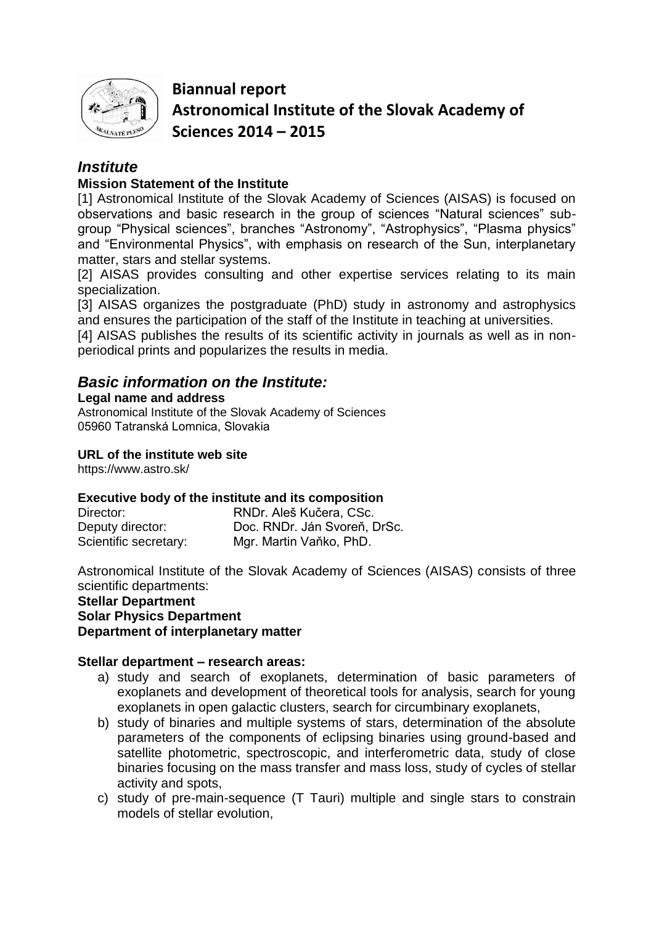

**Biannual report Astronomical Institute of the Slovak Academy of Sciences 2014 – 2015**

# *Institute*

# **Mission Statement of the Institute**

[1] Astronomical Institute of the Slovak Academy of Sciences (AISAS) is focused on observations and basic research in the group of sciences "Natural sciences" subgroup "Physical sciences", branches "Astronomy", "Astrophysics", "Plasma physics" and "Environmental Physics", with emphasis on research of the Sun, interplanetary matter, stars and stellar systems.

[2] AISAS provides consulting and other expertise services relating to its main specialization.

[3] AISAS organizes the postgraduate (PhD) study in astronomy and astrophysics and ensures the participation of the staff of the Institute in teaching at universities.

[4] AISAS publishes the results of its scientific activity in journals as well as in nonperiodical prints and popularizes the results in media.

# *Basic information on the Institute:*

## **Legal name and address**

Astronomical Institute of the Slovak Academy of Sciences 05960 Tatranská Lomnica, Slovakia

## **URL of the institute web site**

https://www.astro.sk/

# **Executive body of the institute and its composition**

| Director:             | RNDr. Aleš Kučera, CSc.      |
|-----------------------|------------------------------|
| Deputy director:      | Doc. RNDr. Ján Svoreň, DrSc. |
| Scientific secretary: | Mgr. Martin Vaňko, PhD.      |

Astronomical Institute of the Slovak Academy of Sciences (AISAS) consists of three scientific departments:

#### **Stellar Department Solar Physics Department Department of interplanetary matter**

# **Stellar department – research areas:**

- a) study and search of exoplanets, determination of basic parameters of exoplanets and development of theoretical tools for analysis, search for young exoplanets in open galactic clusters, search for circumbinary exoplanets,
- b) study of binaries and multiple systems of stars, determination of the absolute parameters of the components of eclipsing binaries using ground-based and satellite photometric, spectroscopic, and interferometric data, study of close binaries focusing on the mass transfer and mass loss, study of cycles of stellar activity and spots,
- c) study of pre-main-sequence (T Tauri) multiple and single stars to constrain models of stellar evolution,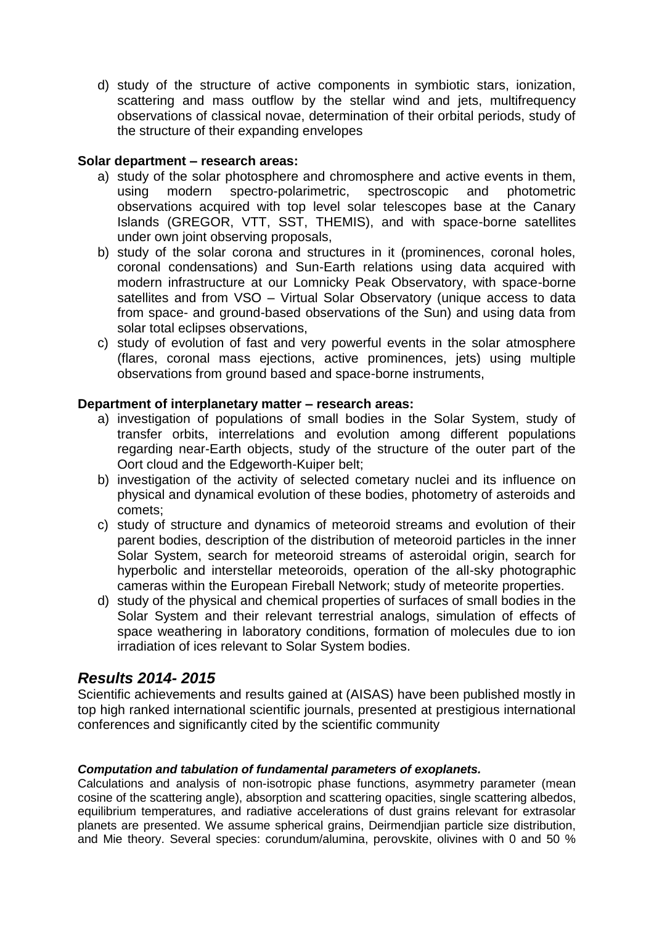d) study of the structure of active components in symbiotic stars, ionization, scattering and mass outflow by the stellar wind and jets, multifrequency observations of classical novae, determination of their orbital periods, study of the structure of their expanding envelopes

# **Solar department – research areas:**

- a) study of the solar photosphere and chromosphere and active events in them, using modern spectro-polarimetric, spectroscopic and photometric observations acquired with top level solar telescopes base at the Canary Islands (GREGOR, VTT, SST, THEMIS), and with space-borne satellites under own joint observing proposals,
- b) study of the solar corona and structures in it (prominences, coronal holes, coronal condensations) and Sun-Earth relations using data acquired with modern infrastructure at our Lomnicky Peak Observatory, with space-borne satellites and from VSO – Virtual Solar Observatory (unique access to data from space- and ground-based observations of the Sun) and using data from solar total eclipses observations,
- c) study of evolution of fast and very powerful events in the solar atmosphere (flares, coronal mass ejections, active prominences, jets) using multiple observations from ground based and space-borne instruments,

## **Department of interplanetary matter – research areas:**

- a) investigation of populations of small bodies in the Solar System, study of transfer orbits, interrelations and evolution among different populations regarding near-Earth objects, study of the structure of the outer part of the Oort cloud and the Edgeworth-Kuiper belt;
- b) investigation of the activity of selected cometary nuclei and its influence on physical and dynamical evolution of these bodies, photometry of asteroids and comets;
- c) study of structure and dynamics of meteoroid streams and evolution of their parent bodies, description of the distribution of meteoroid particles in the inner Solar System, search for meteoroid streams of asteroidal origin, search for hyperbolic and interstellar meteoroids, operation of the all-sky photographic cameras within the European Fireball Network; study of meteorite properties.
- d) study of the physical and chemical properties of surfaces of small bodies in the Solar System and their relevant terrestrial analogs, simulation of effects of space weathering in laboratory conditions, formation of molecules due to ion irradiation of ices relevant to Solar System bodies.

# *Results 2014- 2015*

Scientific achievements and results gained at (AISAS) have been published mostly in top high ranked international scientific journals, presented at prestigious international conferences and significantly cited by the scientific community

#### *Computation and tabulation of fundamental parameters of exoplanets.*

Calculations and analysis of non-isotropic phase functions, asymmetry parameter (mean cosine of the scattering angle), absorption and scattering opacities, single scattering albedos, equilibrium temperatures, and radiative accelerations of dust grains relevant for extrasolar planets are presented. We assume spherical grains, Deirmendjian particle size distribution, and Mie theory. Several species: corundum/alumina, perovskite, olivines with 0 and 50 %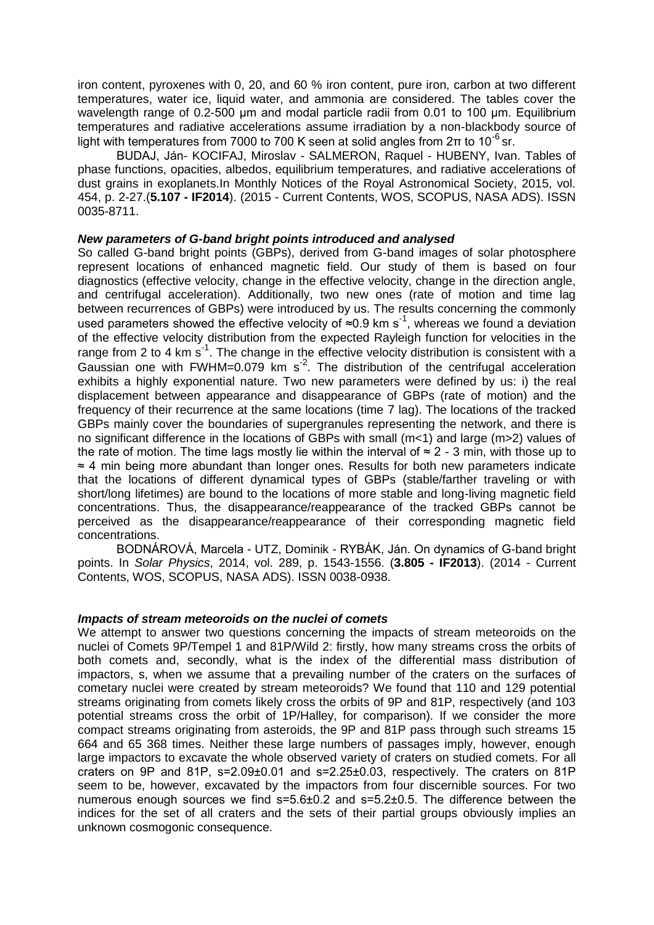iron content, pyroxenes with 0, 20, and 60 % iron content, pure iron, carbon at two different temperatures, water ice, liquid water, and ammonia are considered. The tables cover the wavelength range of 0.2-500 μm and modal particle radii from 0.01 to 100 μm. Equilibrium temperatures and radiative accelerations assume irradiation by a non-blackbody source of light with temperatures from 7000 to 700 K seen at solid angles from  $2π$  to 10<sup>-6</sup> sr.

BUDAJ, Ján- KOCIFAJ, Miroslav - SALMERON, Raquel - HUBENY, Ivan. Tables of phase functions, opacities, albedos, equilibrium temperatures, and radiative accelerations of dust grains in exoplanets.In Monthly Notices of the Royal Astronomical Society, 2015, vol. 454, p. 2-27.(**5.107 - IF2014**). (2015 - Current Contents, WOS, SCOPUS, NASA ADS). ISSN 0035-8711.

#### *New parameters of G-band bright points introduced and analysed*

So called G-band bright points (GBPs), derived from G-band images of solar photosphere represent locations of enhanced magnetic field. Our study of them is based on four diagnostics (effective velocity, change in the effective velocity, change in the direction angle, and centrifugal acceleration). Additionally, two new ones (rate of motion and time lag between recurrences of GBPs) were introduced by us. The results concerning the commonly used parameters showed the effective velocity of  $\approx 0.9$  km s<sup>-1</sup>, whereas we found a deviation of the effective velocity distribution from the expected Rayleigh function for velocities in the range from 2 to 4 km  $s^{-1}$ . The change in the effective velocity distribution is consistent with a Gaussian one with FWHM=0.079 km  $s<sup>2</sup>$ . The distribution of the centrifugal acceleration exhibits a highly exponential nature. Two new parameters were defined by us: i) the real displacement between appearance and disappearance of GBPs (rate of motion) and the frequency of their recurrence at the same locations (time 7 lag). The locations of the tracked GBPs mainly cover the boundaries of supergranules representing the network, and there is no significant difference in the locations of GBPs with small (m<1) and large (m>2) values of the rate of motion. The time lags mostly lie within the interval of  $\approx$  2 - 3 min, with those up to ≈ 4 min being more abundant than longer ones. Results for both new parameters indicate that the locations of different dynamical types of GBPs (stable/farther traveling or with short/long lifetimes) are bound to the locations of more stable and long-living magnetic field concentrations. Thus, the disappearance/reappearance of the tracked GBPs cannot be perceived as the disappearance/reappearance of their corresponding magnetic field concentrations.

BODNÁROVÁ, Marcela - UTZ, Dominik - RYBÁK, Ján. On dynamics of G-band bright points. In *Solar Physics*, 2014, vol. 289, p. 1543-1556. (**3.805 - IF2013**). (2014 - Current Contents, WOS, SCOPUS, NASA ADS). ISSN 0038-0938.

#### *Impacts of stream meteoroids on the nuclei of comets*

We attempt to answer two questions concerning the impacts of stream meteoroids on the nuclei of Comets 9P/Tempel 1 and 81P/Wild 2: firstly, how many streams cross the orbits of both comets and, secondly, what is the index of the differential mass distribution of impactors, s, when we assume that a prevailing number of the craters on the surfaces of cometary nuclei were created by stream meteoroids? We found that 110 and 129 potential streams originating from comets likely cross the orbits of 9P and 81P, respectively (and 103 potential streams cross the orbit of 1P/Halley, for comparison). If we consider the more compact streams originating from asteroids, the 9P and 81P pass through such streams 15 664 and 65 368 times. Neither these large numbers of passages imply, however, enough large impactors to excavate the whole observed variety of craters on studied comets. For all craters on 9P and 81P, s=2.09±0.01 and s=2.25±0.03, respectively. The craters on 81P seem to be, however, excavated by the impactors from four discernible sources. For two numerous enough sources we find s=5.6±0.2 and s=5.2±0.5. The difference between the indices for the set of all craters and the sets of their partial groups obviously implies an unknown cosmogonic consequence.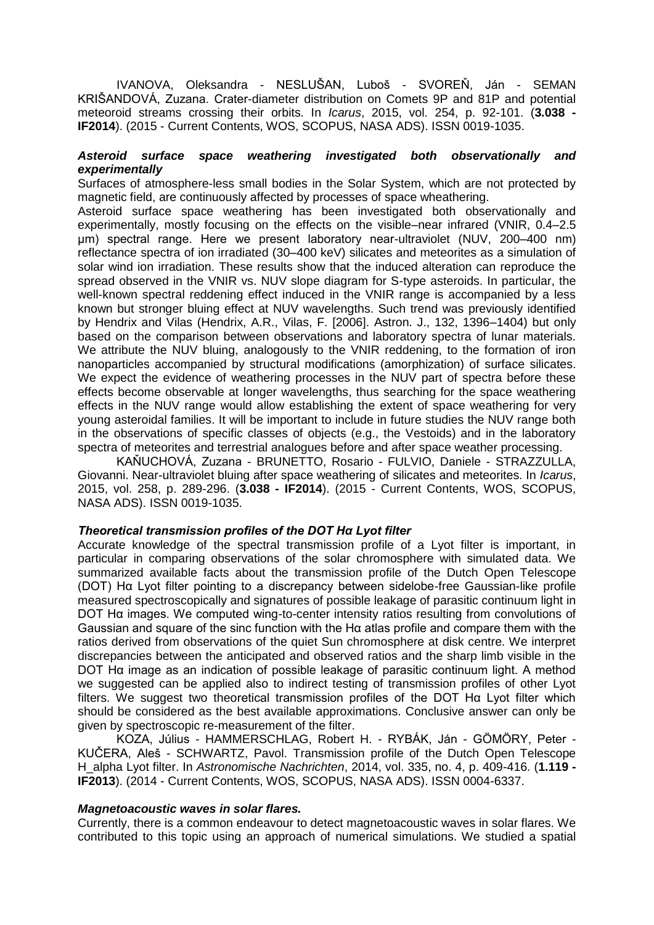IVANOVA, Oleksandra - NESLUŠAN, Luboš - SVOREŇ, Ján - SEMAN KRIŠANDOVÁ, Zuzana. Crater-diameter distribution on Comets 9P and 81P and potential meteoroid streams crossing their orbits. In *Icarus*, 2015, vol. 254, p. 92-101. (**3.038 - IF2014**). (2015 - Current Contents, WOS, SCOPUS, NASA ADS). ISSN 0019-1035.

#### *Asteroid surface space weathering investigated both observationally and experimentally*

Surfaces of atmosphere-less small bodies in the Solar System, which are not protected by magnetic field, are continuously affected by processes of space wheathering.

Asteroid surface space weathering has been investigated both observationally and experimentally, mostly focusing on the effects on the visible–near infrared (VNIR, 0.4–2.5 μm) spectral range. Here we present laboratory near-ultraviolet (NUV, 200–400 nm) reflectance spectra of ion irradiated (30–400 keV) silicates and meteorites as a simulation of solar wind ion irradiation. These results show that the induced alteration can reproduce the spread observed in the VNIR vs. NUV slope diagram for S-type asteroids. In particular, the well-known spectral reddening effect induced in the VNIR range is accompanied by a less known but stronger bluing effect at NUV wavelengths. Such trend was previously identified by Hendrix and Vilas (Hendrix, A.R., Vilas, F. [2006]. Astron. J., 132, 1396–1404) but only based on the comparison between observations and laboratory spectra of lunar materials. We attribute the NUV bluing, analogously to the VNIR reddening, to the formation of iron nanoparticles accompanied by structural modifications (amorphization) of surface silicates. We expect the evidence of weathering processes in the NUV part of spectra before these effects become observable at longer wavelengths, thus searching for the space weathering effects in the NUV range would allow establishing the extent of space weathering for very young asteroidal families. It will be important to include in future studies the NUV range both in the observations of specific classes of objects (e.g., the Vestoids) and in the laboratory spectra of meteorites and terrestrial analogues before and after space weather processing.

KAŇUCHOVÁ, Zuzana - BRUNETTO, Rosario - FULVIO, Daniele - STRAZZULLA, Giovanni. Near-ultraviolet bluing after space weathering of silicates and meteorites. In *Icarus*, 2015, vol. 258, p. 289-296. (**3.038 - IF2014**). (2015 - Current Contents, WOS, SCOPUS, NASA ADS). ISSN 0019-1035.

#### *Theoretical transmission profiles of the DOT Hα Lyot filter*

Accurate knowledge of the spectral transmission profile of a Lyot filter is important, in particular in comparing observations of the solar chromosphere with simulated data. We summarized available facts about the transmission profile of the Dutch Open Telescope (DOT) Hα Lyot filter pointing to a discrepancy between sidelobe-free Gaussian-like profile measured spectroscopically and signatures of possible leakage of parasitic continuum light in DOT Hα images. We computed wing-to-center intensity ratios resulting from convolutions of Gaussian and square of the sinc function with the Hα atlas profile and compare them with the ratios derived from observations of the quiet Sun chromosphere at disk centre. We interpret discrepancies between the anticipated and observed ratios and the sharp limb visible in the DOT Hα image as an indication of possible leakage of parasitic continuum light. A method we suggested can be applied also to indirect testing of transmission profiles of other Lyot filters. We suggest two theoretical transmission profiles of the DOT H $\alpha$  Lyot filter which should be considered as the best available approximations. Conclusive answer can only be given by spectroscopic re-measurement of the filter.

KOZA, Július - HAMMERSCHLAG, Robert H. - RYBÁK, Ján - GÖMÖRY, Peter - KUČERA, Aleš - SCHWARTZ, Pavol. Transmission profile of the Dutch Open Telescope H\_alpha Lyot filter. In *Astronomische Nachrichten*, 2014, vol. 335, no. 4, p. 409-416. (**1.119 - IF2013**). (2014 - Current Contents, WOS, SCOPUS, NASA ADS). ISSN 0004-6337.

#### *Magnetoacoustic waves in solar flares.*

Currently, there is a common endeavour to detect magnetoacoustic waves in solar flares. We contributed to this topic using an approach of numerical simulations. We studied a spatial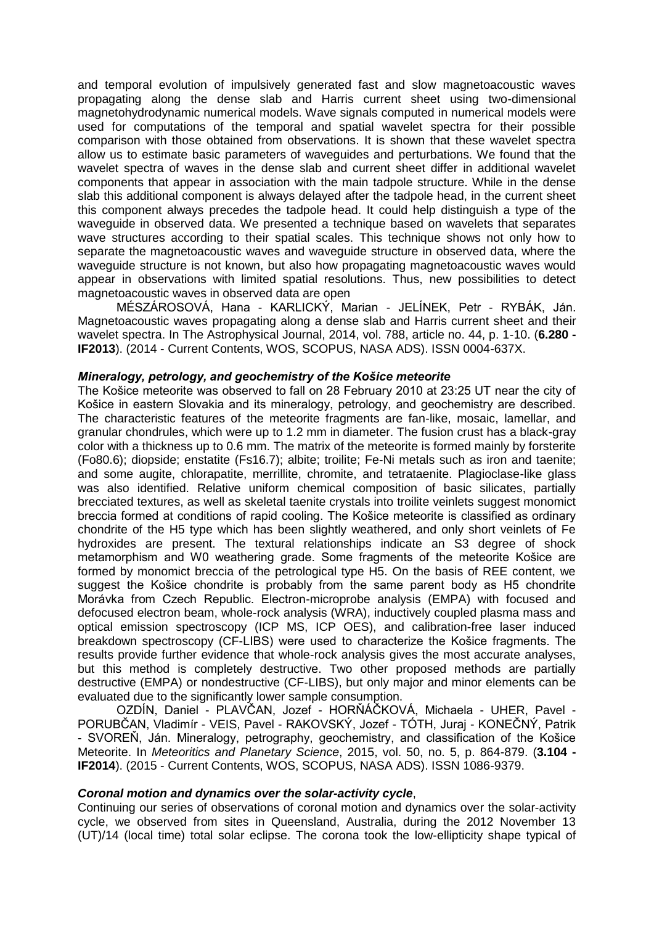and temporal evolution of impulsively generated fast and slow magnetoacoustic waves propagating along the dense slab and Harris current sheet using two-dimensional magnetohydrodynamic numerical models. Wave signals computed in numerical models were used for computations of the temporal and spatial wavelet spectra for their possible comparison with those obtained from observations. It is shown that these wavelet spectra allow us to estimate basic parameters of waveguides and perturbations. We found that the wavelet spectra of waves in the dense slab and current sheet differ in additional wavelet components that appear in association with the main tadpole structure. While in the dense slab this additional component is always delayed after the tadpole head, in the current sheet this component always precedes the tadpole head. It could help distinguish a type of the waveguide in observed data. We presented a technique based on wavelets that separates wave structures according to their spatial scales. This technique shows not only how to separate the magnetoacoustic waves and waveguide structure in observed data, where the waveguide structure is not known, but also how propagating magnetoacoustic waves would appear in observations with limited spatial resolutions. Thus, new possibilities to detect magnetoacoustic waves in observed data are open

MÉSZÁROSOVÁ, Hana - KARLICKÝ, Marian - JELÍNEK, Petr - RYBÁK, Ján. Magnetoacoustic waves propagating along a dense slab and Harris current sheet and their wavelet spectra. In The Astrophysical Journal, 2014, vol. 788, article no. 44, p. 1-10. (**6.280 - IF2013**). (2014 - Current Contents, WOS, SCOPUS, NASA ADS). ISSN 0004-637X.

#### *Mineralogy, petrology, and geochemistry of the Košice meteorite*

The Košice meteorite was observed to fall on 28 February 2010 at 23:25 UT near the city of Košice in eastern Slovakia and its mineralogy, petrology, and geochemistry are described. The characteristic features of the meteorite fragments are fan-like, mosaic, lamellar, and granular chondrules, which were up to 1.2 mm in diameter. The fusion crust has a black-gray color with a thickness up to 0.6 mm. The matrix of the meteorite is formed mainly by forsterite (Fo80.6); diopside; enstatite (Fs16.7); albite; troilite; Fe-Ni metals such as iron and taenite; and some augite, chlorapatite, merrillite, chromite, and tetrataenite. Plagioclase-like glass was also identified. Relative uniform chemical composition of basic silicates, partially brecciated textures, as well as skeletal taenite crystals into troilite veinlets suggest monomict breccia formed at conditions of rapid cooling. The Košice meteorite is classified as ordinary chondrite of the H5 type which has been slightly weathered, and only short veinlets of Fe hydroxides are present. The textural relationships indicate an S3 degree of shock metamorphism and W0 weathering grade. Some fragments of the meteorite Košice are formed by monomict breccia of the petrological type H5. On the basis of REE content, we suggest the Košice chondrite is probably from the same parent body as H5 chondrite Morávka from Czech Republic. Electron-microprobe analysis (EMPA) with focused and defocused electron beam, whole-rock analysis (WRA), inductively coupled plasma mass and optical emission spectroscopy (ICP MS, ICP OES), and calibration-free laser induced breakdown spectroscopy (CF-LIBS) were used to characterize the Košice fragments. The results provide further evidence that whole-rock analysis gives the most accurate analyses, but this method is completely destructive. Two other proposed methods are partially destructive (EMPA) or nondestructive (CF-LIBS), but only major and minor elements can be evaluated due to the significantly lower sample consumption.

OZDÍN, Daniel - PLAVČAN, Jozef - HORŇÁČKOVÁ, Michaela - UHER, Pavel - PORUBČAN, Vladimír - VEIS, Pavel - RAKOVSKÝ, Jozef - TÓTH, Juraj - KONEČNÝ, Patrik - SVOREŇ, Ján. Mineralogy, petrography, geochemistry, and classification of the Košice Meteorite. In *Meteoritics and Planetary Science*, 2015, vol. 50, no. 5, p. 864-879. (**3.104 - IF2014**). (2015 - Current Contents, WOS, SCOPUS, NASA ADS). ISSN 1086-9379.

#### *Coronal motion and dynamics over the solar-activity cycle*,

Continuing our series of observations of coronal motion and dynamics over the solar-activity cycle, we observed from sites in Queensland, Australia, during the 2012 November 13 (UT)/14 (local time) total solar eclipse. The corona took the low-ellipticity shape typical of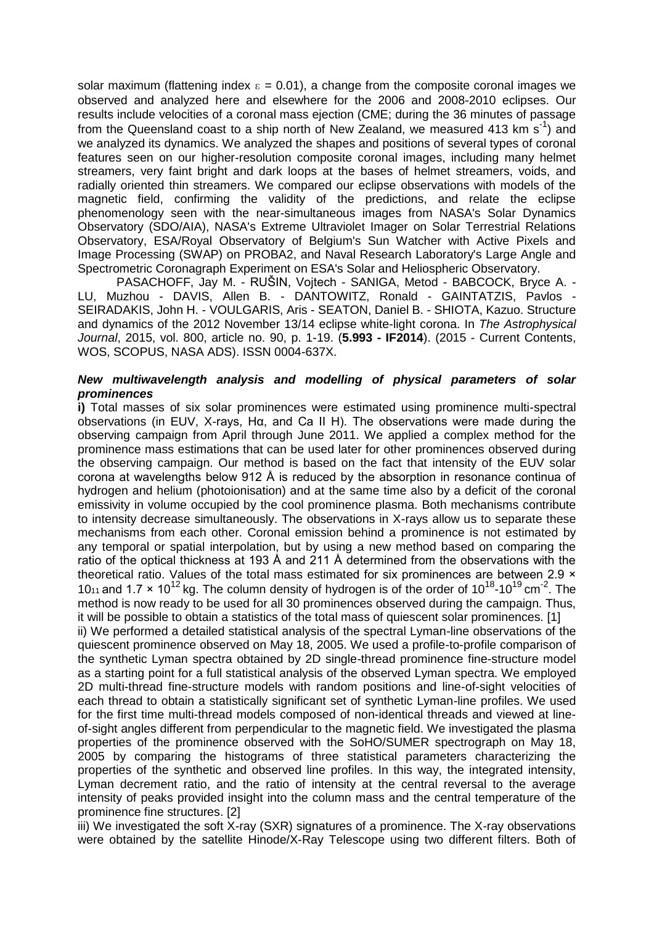solar maximum (flattening index  $\epsilon = 0.01$ ), a change from the composite coronal images we observed and analyzed here and elsewhere for the 2006 and 2008-2010 eclipses. Our results include velocities of a coronal mass ejection (CME; during the 36 minutes of passage from the Queensland coast to a ship north of New Zealand, we measured 413 km s<sup>-1</sup>) and we analyzed its dynamics. We analyzed the shapes and positions of several types of coronal features seen on our higher-resolution composite coronal images, including many helmet streamers, very faint bright and dark loops at the bases of helmet streamers, voids, and radially oriented thin streamers. We compared our eclipse observations with models of the magnetic field, confirming the validity of the predictions, and relate the eclipse phenomenology seen with the near-simultaneous images from NASA's Solar Dynamics Observatory (SDO/AIA), NASA's Extreme Ultraviolet Imager on Solar Terrestrial Relations Observatory, ESA/Royal Observatory of Belgium's Sun Watcher with Active Pixels and Image Processing (SWAP) on PROBA2, and Naval Research Laboratory's Large Angle and Spectrometric Coronagraph Experiment on ESA's Solar and Heliospheric Observatory.

PASACHOFF, Jay M. - RUŠIN, Vojtech - SANIGA, Metod - BABCOCK, Bryce A. - LU, Muzhou - DAVIS, Allen B. - DANTOWITZ, Ronald - GAINTATZIS, Pavlos - SEIRADAKIS, John H. - VOULGARIS, Aris - SEATON, Daniel B. - SHIOTA, Kazuo. Structure and dynamics of the 2012 November 13/14 eclipse white-light corona. In *The Astrophysical Journal*, 2015, vol. 800, article no. 90, p. 1-19. (**5.993 - IF2014**). (2015 - Current Contents, WOS, SCOPUS, NASA ADS). ISSN 0004-637X.

#### *New multiwavelength analysis and modelling of physical parameters of solar prominences*

**i)** Total masses of six solar prominences were estimated using prominence multi-spectral observations (in EUV, X-rays, Hα, and Ca II H). The observations were made during the observing campaign from April through June 2011. We applied a complex method for the prominence mass estimations that can be used later for other prominences observed during the observing campaign. Our method is based on the fact that intensity of the EUV solar corona at wavelengths below 912 Å is reduced by the absorption in resonance continua of hydrogen and helium (photoionisation) and at the same time also by a deficit of the coronal emissivity in volume occupied by the cool prominence plasma. Both mechanisms contribute to intensity decrease simultaneously. The observations in X-rays allow us to separate these mechanisms from each other. Coronal emission behind a prominence is not estimated by any temporal or spatial interpolation, but by using a new method based on comparing the ratio of the optical thickness at 193 Å and 211 Å determined from the observations with the theoretical ratio. Values of the total mass estimated for six prominences are between 2.9  $\times$ 10<sub>11</sub> and 1.7  $\times$  10<sup>12</sup> kg. The column density of hydrogen is of the order of 10<sup>18</sup>-10<sup>19</sup> cm<sup>-2</sup>. The method is now ready to be used for all 30 prominences observed during the campaign. Thus, it will be possible to obtain a statistics of the total mass of quiescent solar prominences. [1]

ii) We performed a detailed statistical analysis of the spectral Lyman-line observations of the quiescent prominence observed on May 18, 2005. We used a profile-to-profile comparison of the synthetic Lyman spectra obtained by 2D single-thread prominence fine-structure model as a starting point for a full statistical analysis of the observed Lyman spectra. We employed 2D multi-thread fine-structure models with random positions and line-of-sight velocities of each thread to obtain a statistically significant set of synthetic Lyman-line profiles. We used for the first time multi-thread models composed of non-identical threads and viewed at lineof-sight angles different from perpendicular to the magnetic field. We investigated the plasma properties of the prominence observed with the SoHO/SUMER spectrograph on May 18, 2005 by comparing the histograms of three statistical parameters characterizing the properties of the synthetic and observed line profiles. In this way, the integrated intensity, Lyman decrement ratio, and the ratio of intensity at the central reversal to the average intensity of peaks provided insight into the column mass and the central temperature of the prominence fine structures. [2]

iii) We investigated the soft X-ray (SXR) signatures of a prominence. The X-ray observations were obtained by the satellite Hinode/X-Ray Telescope using two different filters. Both of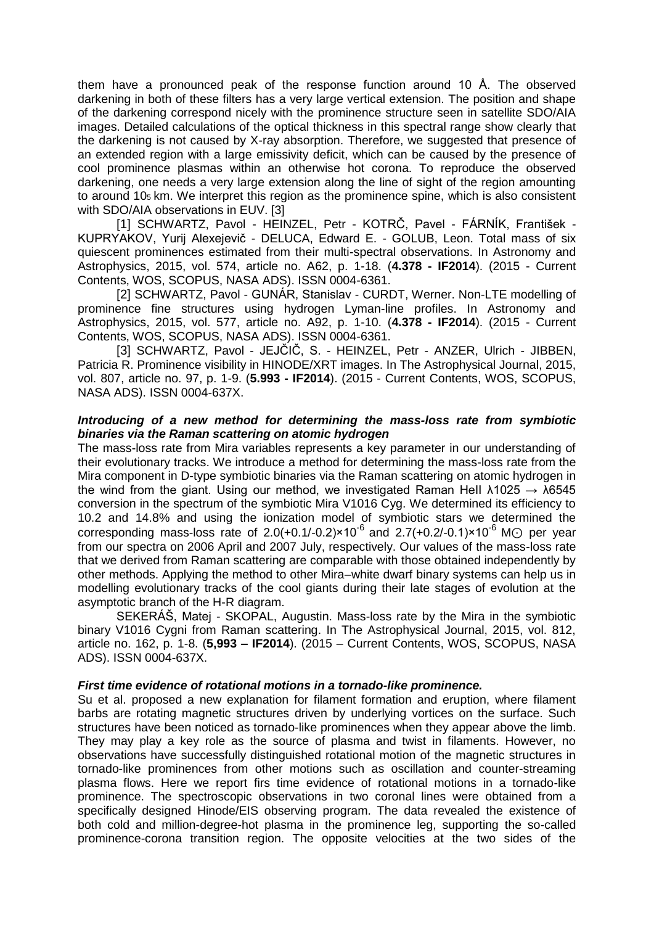them have a pronounced peak of the response function around 10 Å. The observed darkening in both of these filters has a very large vertical extension. The position and shape of the darkening correspond nicely with the prominence structure seen in satellite SDO/AIA images. Detailed calculations of the optical thickness in this spectral range show clearly that the darkening is not caused by X-ray absorption. Therefore, we suggested that presence of an extended region with a large emissivity deficit, which can be caused by the presence of cool prominence plasmas within an otherwise hot corona. To reproduce the observed darkening, one needs a very large extension along the line of sight of the region amounting to around 105 km. We interpret this region as the prominence spine, which is also consistent with SDO/AIA observations in EUV. [3]

[1] SCHWARTZ, Pavol - HEINZEL, Petr - KOTRČ, Pavel - FÁRNÍK, František - KUPRYAKOV, Yurij Alexejevič - DELUCA, Edward E. - GOLUB, Leon. Total mass of six quiescent prominences estimated from their multi-spectral observations. In Astronomy and Astrophysics, 2015, vol. 574, article no. A62, p. 1-18. (**4.378 - IF2014**). (2015 - Current Contents, WOS, SCOPUS, NASA ADS). ISSN 0004-6361.

[2] SCHWARTZ, Pavol - GUNÁR, Stanislav - CURDT, Werner. Non-LTE modelling of prominence fine structures using hydrogen Lyman-line profiles. In Astronomy and Astrophysics, 2015, vol. 577, article no. A92, p. 1-10. (**4.378 - IF2014**). (2015 - Current Contents, WOS, SCOPUS, NASA ADS). ISSN 0004-6361.

[3] SCHWARTZ, Pavol - JEJČIČ, S. - HEINZEL, Petr - ANZER, Ulrich - JIBBEN, Patricia R. Prominence visibility in HINODE/XRT images. In The Astrophysical Journal, 2015, vol. 807, article no. 97, p. 1-9. (**5.993 - IF2014**). (2015 - Current Contents, WOS, SCOPUS, NASA ADS). ISSN 0004-637X.

#### *Introducing of a new method for determining the mass-loss rate from symbiotic binaries via the Raman scattering on atomic hydrogen*

The mass-loss rate from Mira variables represents a key parameter in our understanding of their evolutionary tracks. We introduce a method for determining the mass-loss rate from the Mira component in D-type symbiotic binaries via the Raman scattering on atomic hydrogen in the wind from the giant. Using our method, we investigated Raman Hell  $\lambda$ 1025  $\rightarrow \lambda$ 6545 conversion in the spectrum of the symbiotic Mira V1016 Cyg. We determined its efficiency to 10.2 and 14.8% and using the ionization model of symbiotic stars we determined the corresponding mass-loss rate of 2.0(+0.1/-0.2)×10<sup>-6</sup> and 2.7(+0.2/-0.1)×10<sup>-6</sup> M $\odot$  per year from our spectra on 2006 April and 2007 July, respectively. Our values of the mass-loss rate that we derived from Raman scattering are comparable with those obtained independently by other methods. Applying the method to other Mira–white dwarf binary systems can help us in modelling evolutionary tracks of the cool giants during their late stages of evolution at the asymptotic branch of the H-R diagram.

SEKERÁŠ, Matej - SKOPAL, Augustin. Mass-loss rate by the Mira in the symbiotic binary V1016 Cygni from Raman scattering. In The Astrophysical Journal, 2015, vol. 812, article no. 162, p. 1-8. (**5,993 – IF2014**). (2015 – Current Contents, WOS, SCOPUS, NASA ADS). ISSN 0004-637X.

#### *First time evidence of rotational motions in a tornado-like prominence.*

Su et al. proposed a new explanation for filament formation and eruption, where filament barbs are rotating magnetic structures driven by underlying vortices on the surface. Such structures have been noticed as tornado-like prominences when they appear above the limb. They may play a key role as the source of plasma and twist in filaments. However, no observations have successfully distinguished rotational motion of the magnetic structures in tornado-like prominences from other motions such as oscillation and counter-streaming plasma flows. Here we report firs time evidence of rotational motions in a tornado-like prominence. The spectroscopic observations in two coronal lines were obtained from a specifically designed Hinode/EIS observing program. The data revealed the existence of both cold and million-degree-hot plasma in the prominence leg, supporting the so-called prominence-corona transition region. The opposite velocities at the two sides of the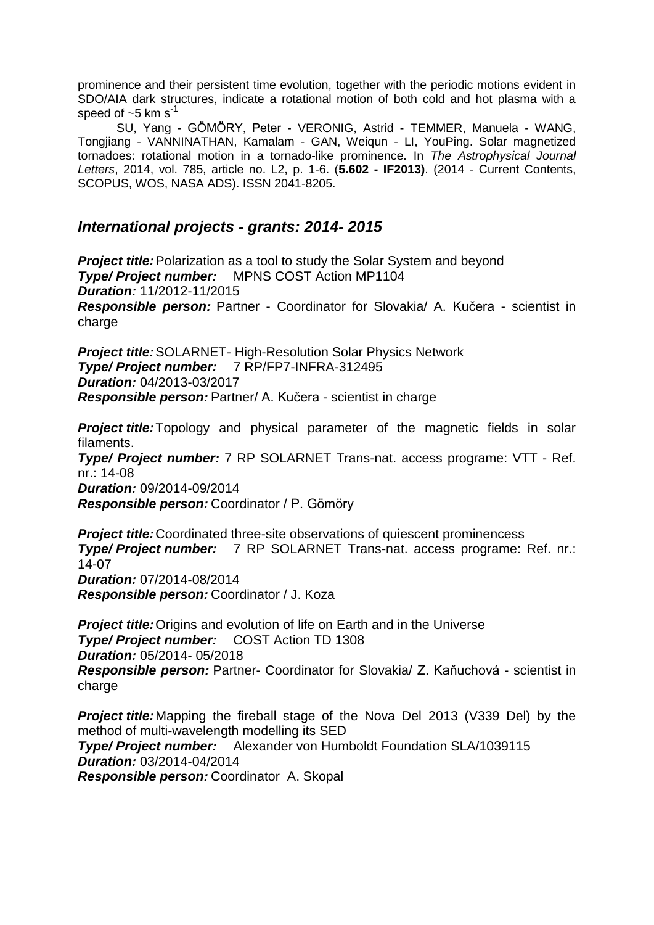prominence and their persistent time evolution, together with the periodic motions evident in SDO/AIA dark structures, indicate a rotational motion of both cold and hot plasma with a speed of  $~5$  km s<sup>-1</sup>

SU, Yang - GÖMÖRY, Peter - VERONIG, Astrid - TEMMER, Manuela - WANG, Tongjiang - VANNINATHAN, Kamalam - GAN, Weiqun - LI, YouPing. Solar magnetized tornadoes: rotational motion in a tornado-like prominence. In *The Astrophysical Journal Letters*, 2014, vol. 785, article no. L2, p. 1-6. (**5.602 - IF2013)**. (2014 - Current Contents, SCOPUS, WOS, NASA ADS). ISSN 2041-8205.

# *International projects - grants: 2014- 2015*

*Project title:*Polarization as a tool to study the Solar System and beyond *Type/ Project number:* MPNS COST Action MP1104 *Duration:* 11/2012-11/2015 *Responsible person:* Partner - Coordinator for Slovakia/ A. Kučera - scientist in charge

*Project title:*SOLARNET- High-Resolution Solar Physics Network *Type/ Project number:* 7 RP/FP7-INFRA-312495 *Duration:* 04/2013-03/2017 *Responsible person:* Partner/ A. Kučera - scientist in charge

**Project title:**Topology and physical parameter of the magnetic fields in solar filaments.

*Type/ Project number:* 7 RP SOLARNET Trans-nat. access programe: VTT - Ref. nr.: 14-08 *Duration:* 09/2014-09/2014

*Responsible person:* Coordinator / P. Gömöry

*Project title:*Coordinated three-site observations of quiescent prominencess *Type/ Project number:* 7 RP SOLARNET Trans-nat. access programe: Ref. nr.: 14-07 *Duration:* 07/2014-08/2014 *Responsible person:* Coordinator / J. Koza

*Project title:*Origins and evolution of life on Earth and in the Universe *Type/ Project number:* COST Action TD 1308 *Duration:* 05/2014- 05/2018 *Responsible person:* Partner- Coordinator for Slovakia/ Z. Kaňuchová - scientist in charge

*Project title:*Mapping the fireball stage of the Nova Del 2013 (V339 Del) by the method of multi-wavelength modelling its SED *Type/ Project number:* Alexander von Humboldt Foundation SLA/1039115 *Duration:* 03/2014-04/2014 *Responsible person:* Coordinator A. Skopal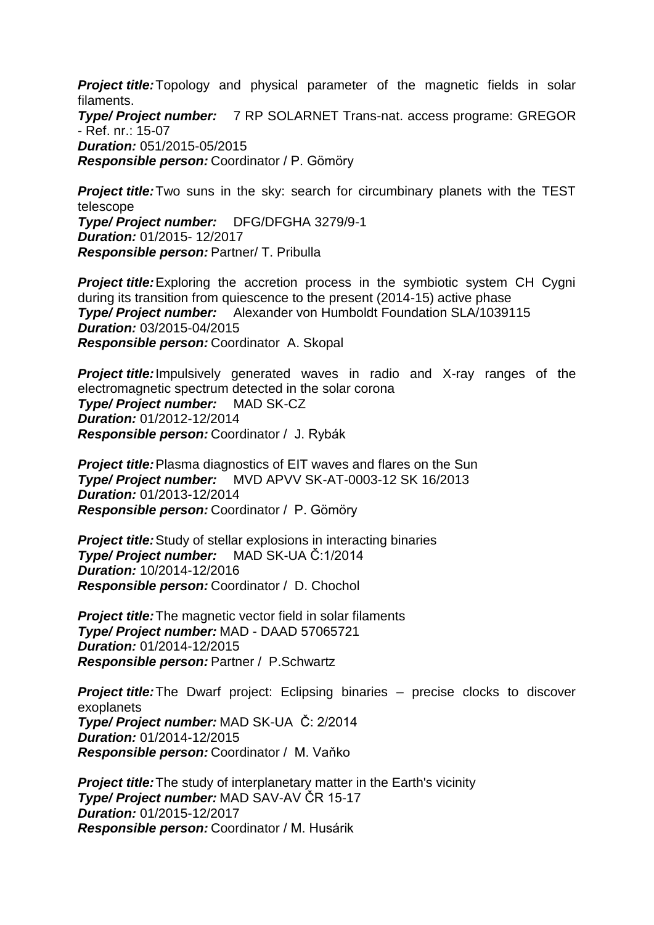**Project title:**Topology and physical parameter of the magnetic fields in solar filaments.

*Type/ Project number:* 7 RP SOLARNET Trans-nat. access programe: GREGOR - Ref. nr.: 15-07 *Duration:* 051/2015-05/2015

*Responsible person:* Coordinator / P. Gömöry

**Project title:** Two suns in the sky: search for circumbinary planets with the TEST telescope *Type/ Project number:* DFG/DFGHA 3279/9-1 *Duration:* 01/2015- 12/2017 *Responsible person:* Partner/ T. Pribulla

*Project title:*Exploring the accretion process in the symbiotic system CH Cygni during its transition from quiescence to the present (2014-15) active phase *Type/ Project number:* Alexander von Humboldt Foundation SLA/1039115 *Duration:* 03/2015-04/2015 *Responsible person:* Coordinator A. Skopal

**Project title:** Impulsively generated waves in radio and X-ray ranges of the electromagnetic spectrum detected in the solar corona *Type/ Project number:* MAD SK-CZ *Duration:* 01/2012-12/2014 *Responsible person:* Coordinator / J. Rybák

*Project title:*Plasma diagnostics of EIT waves and flares on the Sun *Type/ Project number:* MVD APVV SK-AT-0003-12 SK 16/2013 *Duration:* 01/2013-12/2014 *Responsible person:* Coordinator / P. Gömöry

**Project title:** Study of stellar explosions in interacting binaries *Type/ Project number:* MAD SK-UA Č:1/2014 *Duration:* 10/2014-12/2016 *Responsible person:* Coordinator / D. Chochol

*Project title:*The magnetic vector field in solar filaments *Type/ Project number:* MAD - DAAD 57065721 *Duration:* 01/2014-12/2015 *Responsible person:* Partner / P.Schwartz

**Project title:**The Dwarf project: Eclipsing binaries – precise clocks to discover exoplanets *Type/ Project number:* MAD SK-UA Č: 2/2014 *Duration:* 01/2014-12/2015 *Responsible person:* Coordinator / M. Vaňko

**Project title:** The study of interplanetary matter in the Earth's vicinity *Type/ Project number:* MAD SAV-AV ČR 15-17 *Duration:* 01/2015-12/2017 *Responsible person:* Coordinator / M. Husárik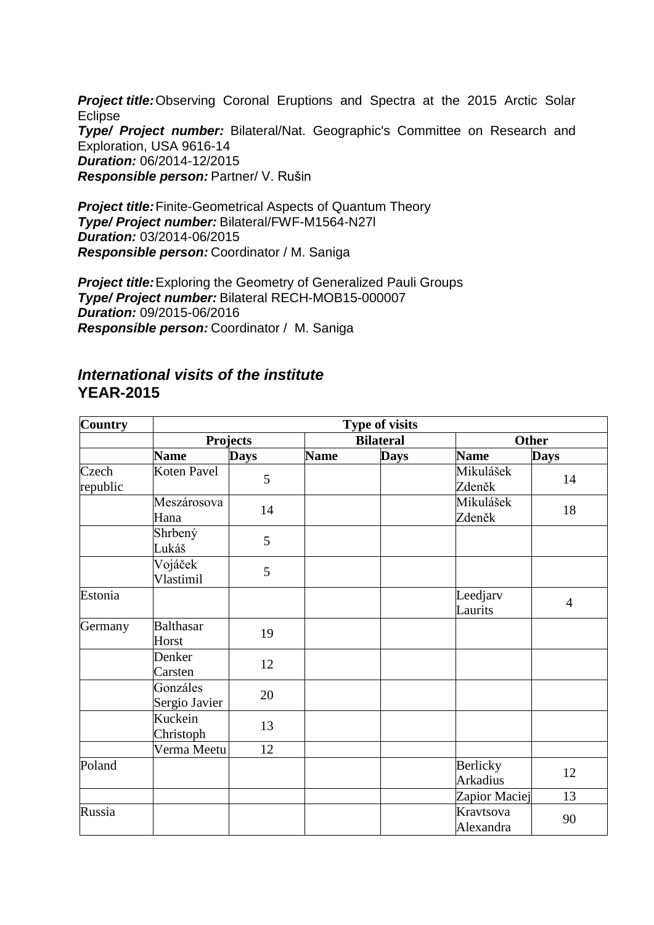*Project title:*Observing Coronal Eruptions and Spectra at the 2015 Arctic Solar **Eclipse** *Type/ Project number:* Bilateral/Nat. Geographic's Committee on Research and Exploration, USA 9616-14 *Duration:* 06/2014-12/2015 *Responsible person:* Partner/ V. Rušin

*Project title: Finite-Geometrical Aspects of Quantum Theory Type/ Project number:* Bilateral/FWF-M1564-N27l *Duration:* 03/2014-06/2015 *Responsible person:* Coordinator / M. Saniga

*Project title:*Exploring the Geometry of Generalized Pauli Groups *Type/ Project number:* Bilateral RECH-MOB15-000007 *Duration:* 09/2015-06/2016 *Responsible person:* Coordinator / M. Saniga

# *International visits of the institute* **YEAR-2015**

| <b>Country</b>    | <b>Type of visits</b>     |                 |             |                  |                             |                |  |
|-------------------|---------------------------|-----------------|-------------|------------------|-----------------------------|----------------|--|
|                   |                           | <b>Projects</b> |             | <b>Bilateral</b> |                             | <b>Other</b>   |  |
|                   | <b>Name</b>               | <b>Days</b>     | <b>Name</b> | <b>Days</b>      | <b>Name</b>                 | <b>Days</b>    |  |
| Czech<br>republic | Koten Pavel               | 5               |             |                  | Mikulášek<br>Zdeněk         | 14             |  |
|                   | Meszárosova<br>Hana       | 14              |             |                  | Mikulášek<br>Zdeněk         | 18             |  |
|                   | Shrbený<br>Lukáš          | 5               |             |                  |                             |                |  |
|                   | Vojáček<br>Vlastimil      | 5               |             |                  |                             |                |  |
| Estonia           |                           |                 |             |                  | Leedjarv<br>Laurits         | $\overline{4}$ |  |
| Germany           | <b>Balthasar</b><br>Horst | 19              |             |                  |                             |                |  |
|                   | Denker<br>Carsten         | 12              |             |                  |                             |                |  |
|                   | Gonzáles<br>Sergio Javier | 20              |             |                  |                             |                |  |
|                   | Kuckein<br>Christoph      | 13              |             |                  |                             |                |  |
|                   | Verma Meetu               | 12              |             |                  |                             |                |  |
| Poland            |                           |                 |             |                  | Berlicky<br><b>Arkadius</b> | 12             |  |
|                   |                           |                 |             |                  | Zapior Maciej               | 13             |  |
| Russia            |                           |                 |             |                  | Kravtsova<br>Alexandra      | 90             |  |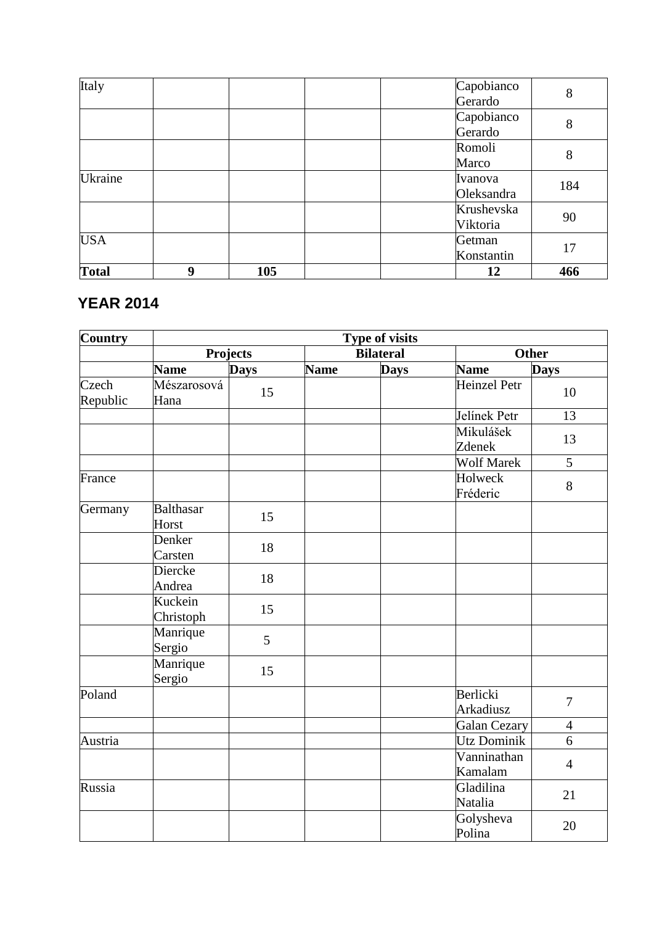| <b>Total</b> | 9 | 105 |  | 12         | 466 |
|--------------|---|-----|--|------------|-----|
|              |   |     |  | Konstantin | 17  |
| <b>USA</b>   |   |     |  | Getman     |     |
|              |   |     |  | Viktoria   |     |
|              |   |     |  | Krushevska | 90  |
|              |   |     |  | Oleksandra |     |
| Ukraine      |   |     |  | Ivanova    | 184 |
|              |   |     |  | Marco      |     |
|              |   |     |  | Romoli     | 8   |
|              |   |     |  | Gerardo    |     |
|              |   |     |  | Capobianco | 8   |
|              |   |     |  | Gerardo    |     |
| Italy        |   |     |  | Capobianco | 8   |

# **YEAR 2014**

| <b>Country</b>    | Type of visits            |                 |             |                  |                        |                |  |
|-------------------|---------------------------|-----------------|-------------|------------------|------------------------|----------------|--|
|                   |                           | <b>Projects</b> |             | <b>Bilateral</b> |                        | <b>Other</b>   |  |
|                   | <b>Name</b>               | Days            | <b>Name</b> | <b>Days</b>      | <b>Name</b>            | <b>Days</b>    |  |
| Czech<br>Republic | Mészarosová<br>Hana       | 15              |             |                  | <b>Heinzel Petr</b>    | 10             |  |
|                   |                           |                 |             |                  | Jelínek Petr           | 13             |  |
|                   |                           |                 |             |                  | Mikulášek<br>Zdenek    | 13             |  |
|                   |                           |                 |             |                  | <b>Wolf Marek</b>      | 5              |  |
| France            |                           |                 |             |                  | Holweck<br>Fréderic    | 8              |  |
| Germany           | <b>Balthasar</b><br>Horst | 15              |             |                  |                        |                |  |
|                   | Denker<br>Carsten         | 18              |             |                  |                        |                |  |
|                   | Diercke<br>Andrea         | 18              |             |                  |                        |                |  |
|                   | Kuckein<br>Christoph      | 15              |             |                  |                        |                |  |
|                   | Manrique<br>Sergio        | 5               |             |                  |                        |                |  |
|                   | Manrique<br>Sergio        | 15              |             |                  |                        |                |  |
| Poland            |                           |                 |             |                  | Berlicki<br>Arkadiusz  | $\overline{7}$ |  |
|                   |                           |                 |             |                  | Galan Cezary           | $\overline{4}$ |  |
| Austria           |                           |                 |             |                  | <b>Utz Dominik</b>     | 6              |  |
|                   |                           |                 |             |                  | Vanninathan<br>Kamalam | $\overline{4}$ |  |
| Russia            |                           |                 |             |                  | Gladilina<br>Natalia   | 21             |  |
|                   |                           |                 |             |                  | Golysheva<br>Polina    | 20             |  |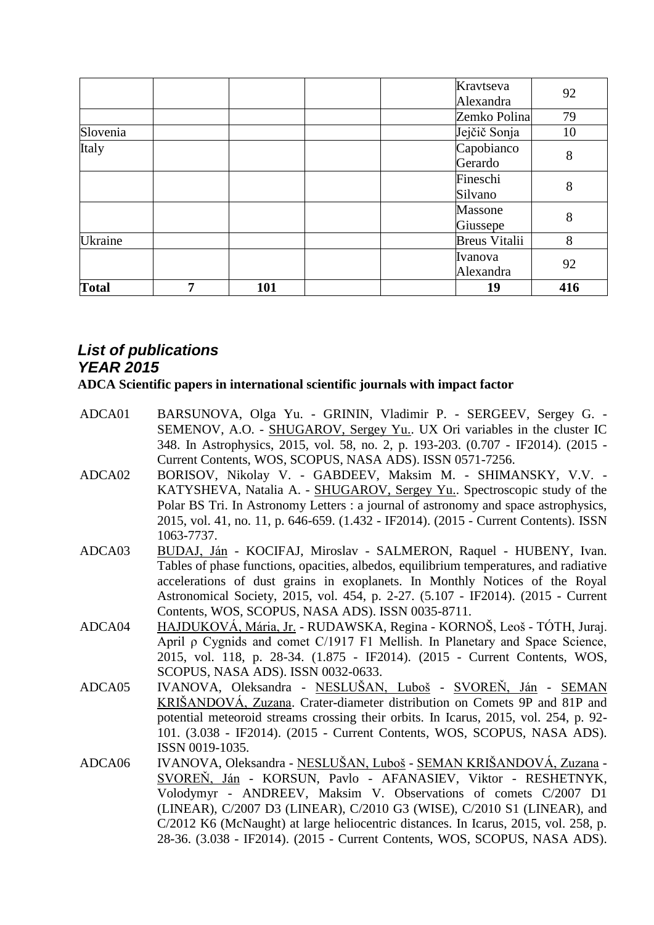|              |   |     |  | Kravtseva            |     |
|--------------|---|-----|--|----------------------|-----|
|              |   |     |  | Alexandra            | 92  |
|              |   |     |  | Zemko Polina         | 79  |
| Slovenia     |   |     |  | Jejčič Sonja         | 10  |
| Italy        |   |     |  | Capobianco           | 8   |
|              |   |     |  | Gerardo              |     |
|              |   |     |  | Fineschi             | 8   |
|              |   |     |  | Silvano              |     |
|              |   |     |  | Massone              | 8   |
|              |   |     |  | Giussepe             |     |
| Ukraine      |   |     |  | <b>Breus Vitalii</b> | 8   |
|              |   |     |  | Ivanova              | 92  |
|              |   |     |  | Alexandra            |     |
| <b>Total</b> | 7 | 101 |  | 19                   | 416 |

# *List of publications YEAR 2015*

**ADCA Scientific papers in international scientific journals with impact factor**

- ADCA01 BARSUNOVA, Olga Yu. GRININ, Vladimir P. SERGEEV, Sergey G. SEMENOV, A.O. - SHUGAROV, Sergey Yu.. UX Ori variables in the cluster IC 348. In Astrophysics, 2015, vol. 58, no. 2, p. 193-203. (0.707 - IF2014). (2015 - Current Contents, WOS, SCOPUS, NASA ADS). ISSN 0571-7256.
- ADCA02 BORISOV, Nikolay V. GABDEEV, Maksim M. SHIMANSKY, V.V. KATYSHEVA, Natalia A. - SHUGAROV, Sergey Yu.. Spectroscopic study of the Polar BS Tri. In Astronomy Letters : a journal of astronomy and space astrophysics, 2015, vol. 41, no. 11, p. 646-659. (1.432 - IF2014). (2015 - Current Contents). ISSN 1063-7737.
- ADCA03 BUDAJ, Ján KOCIFAJ, Miroslav SALMERON, Raquel HUBENY, Ivan. Tables of phase functions, opacities, albedos, equilibrium temperatures, and radiative accelerations of dust grains in exoplanets. In Monthly Notices of the Royal Astronomical Society, 2015, vol. 454, p. 2-27. (5.107 - IF2014). (2015 - Current Contents, WOS, SCOPUS, NASA ADS). ISSN 0035-8711.
- ADCA04 HAJDUKOVÁ, Mária, Jr. RUDAWSKA, Regina KORNOŠ, Leoš TÓTH, Juraj. April ρ Cygnids and comet C/1917 F1 Mellish. In Planetary and Space Science, 2015, vol. 118, p. 28-34. (1.875 - IF2014). (2015 - Current Contents, WOS, SCOPUS, NASA ADS). ISSN 0032-0633.
- ADCA05 IVANOVA, Oleksandra NESLUŠAN, Luboš SVOREŇ, Ján SEMAN KRIŠANDOVÁ, Zuzana. Crater-diameter distribution on Comets 9P and 81P and potential meteoroid streams crossing their orbits. In Icarus, 2015, vol. 254, p. 92- 101. (3.038 - IF2014). (2015 - Current Contents, WOS, SCOPUS, NASA ADS). ISSN 0019-1035.
- ADCA06 IVANOVA, Oleksandra NESLUŠAN, Luboš SEMAN KRIŠANDOVÁ, Zuzana SVOREŇ, Ján - KORSUN, Pavlo - AFANASIEV, Viktor - RESHETNYK, Volodymyr - ANDREEV, Maksim V. Observations of comets C/2007 D1 (LINEAR), C/2007 D3 (LINEAR), C/2010 G3 (WISE), C/2010 S1 (LINEAR), and C/2012 K6 (McNaught) at large heliocentric distances. In Icarus, 2015, vol. 258, p. 28-36. (3.038 - IF2014). (2015 - Current Contents, WOS, SCOPUS, NASA ADS).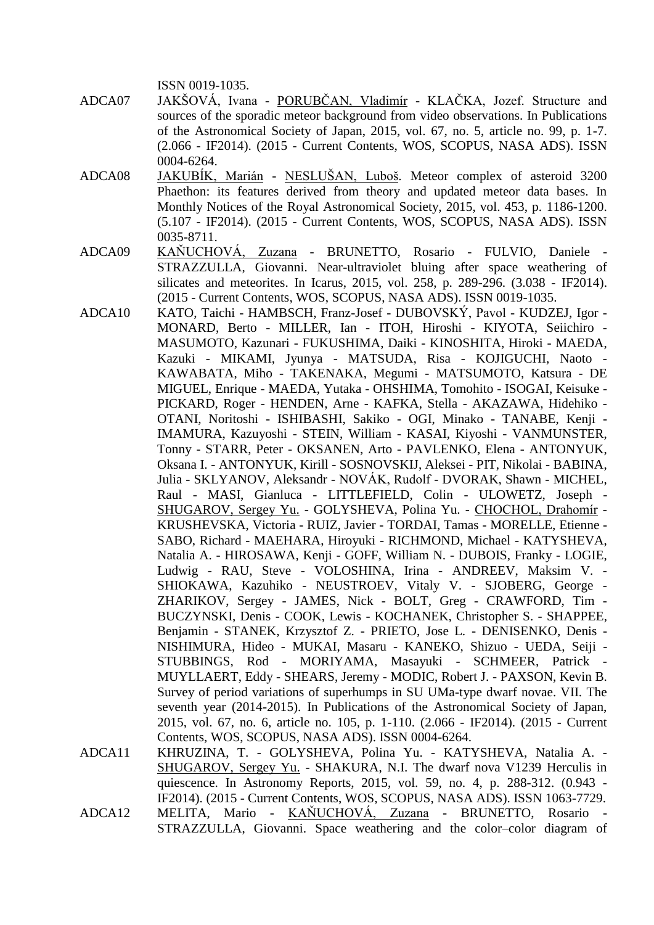ISSN 0019-1035.

- ADCA07 JAKŠOVÁ, Ivana PORUBČAN, Vladimír KLAČKA, Jozef. Structure and sources of the sporadic meteor background from video observations. In Publications of the Astronomical Society of Japan, 2015, vol. 67, no. 5, article no. 99, p. 1-7. (2.066 - IF2014). (2015 - Current Contents, WOS, SCOPUS, NASA ADS). ISSN 0004-6264.
- ADCA08 JAKUBÍK, Marián NESLUŠAN, Luboš. Meteor complex of asteroid 3200 Phaethon: its features derived from theory and updated meteor data bases. In Monthly Notices of the Royal Astronomical Society, 2015, vol. 453, p. 1186-1200. (5.107 - IF2014). (2015 - Current Contents, WOS, SCOPUS, NASA ADS). ISSN 0035-8711.
- ADCA09 KAŇUCHOVÁ, Zuzana BRUNETTO, Rosario FULVIO, Daniele STRAZZULLA, Giovanni. Near-ultraviolet bluing after space weathering of silicates and meteorites. In Icarus, 2015, vol. 258, p. 289-296. (3.038 - IF2014). (2015 - Current Contents, WOS, SCOPUS, NASA ADS). ISSN 0019-1035.
- ADCA10 KATO, Taichi HAMBSCH, Franz-Josef DUBOVSKÝ, Pavol KUDZEJ, Igor MONARD, Berto - MILLER, Ian - ITOH, Hiroshi - KIYOTA, Seiichiro - MASUMOTO, Kazunari - FUKUSHIMA, Daiki - KINOSHITA, Hiroki - MAEDA, Kazuki - MIKAMI, Jyunya - MATSUDA, Risa - KOJIGUCHI, Naoto - KAWABATA, Miho - TAKENAKA, Megumi - MATSUMOTO, Katsura - DE MIGUEL, Enrique - MAEDA, Yutaka - OHSHIMA, Tomohito - ISOGAI, Keisuke - PICKARD, Roger - HENDEN, Arne - KAFKA, Stella - AKAZAWA, Hidehiko - OTANI, Noritoshi - ISHIBASHI, Sakiko - OGI, Minako - TANABE, Kenji - IMAMURA, Kazuyoshi - STEIN, William - KASAI, Kiyoshi - VANMUNSTER, Tonny - STARR, Peter - OKSANEN, Arto - PAVLENKO, Elena - ANTONYUK, Oksana I. - ANTONYUK, Kirill - SOSNOVSKIJ, Aleksei - PIT, Nikolai - BABINA, Julia - SKLYANOV, Aleksandr - NOVÁK, Rudolf - DVORAK, Shawn - MICHEL, Raul - MASI, Gianluca - LITTLEFIELD, Colin - ULOWETZ, Joseph - SHUGAROV, Sergey Yu. - GOLYSHEVA, Polina Yu. - CHOCHOL, Drahomír - KRUSHEVSKA, Victoria - RUIZ, Javier - TORDAI, Tamas - MORELLE, Etienne - SABO, Richard - MAEHARA, Hiroyuki - RICHMOND, Michael - KATYSHEVA, Natalia A. - HIROSAWA, Kenji - GOFF, William N. - DUBOIS, Franky - LOGIE, Ludwig - RAU, Steve - VOLOSHINA, Irina - ANDREEV, Maksim V. - SHIOKAWA, Kazuhiko - NEUSTROEV, Vitaly V. - SJOBERG, George - ZHARIKOV, Sergey - JAMES, Nick - BOLT, Greg - CRAWFORD, Tim - BUCZYNSKI, Denis - COOK, Lewis - KOCHANEK, Christopher S. - SHAPPEE, Benjamin - STANEK, Krzysztof Z. - PRIETO, Jose L. - DENISENKO, Denis - NISHIMURA, Hideo - MUKAI, Masaru - KANEKO, Shizuo - UEDA, Seiji - STUBBINGS, Rod - MORIYAMA, Masayuki - SCHMEER, Patrick - MUYLLAERT, Eddy - SHEARS, Jeremy - MODIC, Robert J. - PAXSON, Kevin B. Survey of period variations of superhumps in SU UMa-type dwarf novae. VII. The seventh year (2014-2015). In Publications of the Astronomical Society of Japan, 2015, vol. 67, no. 6, article no. 105, p. 1-110. (2.066 - IF2014). (2015 - Current Contents, WOS, SCOPUS, NASA ADS). ISSN 0004-6264.
- ADCA11 KHRUZINA, T. GOLYSHEVA, Polina Yu. KATYSHEVA, Natalia A. SHUGAROV, Sergey Yu. - SHAKURA, N.I. The dwarf nova V1239 Herculis in quiescence. In Astronomy Reports, 2015, vol. 59, no. 4, p. 288-312. (0.943 - IF2014). (2015 - Current Contents, WOS, SCOPUS, NASA ADS). ISSN 1063-7729.
- ADCA12 MELITA, Mario KAŇUCHOVÁ, Zuzana BRUNETTO, Rosario STRAZZULLA, Giovanni. Space weathering and the color–color diagram of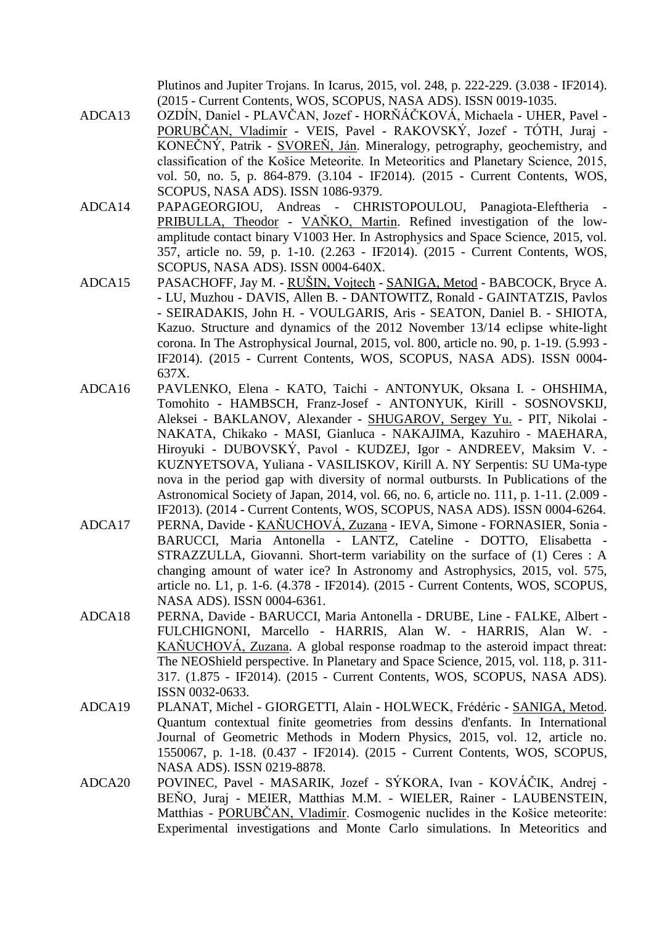Plutinos and Jupiter Trojans. In Icarus, 2015, vol. 248, p. 222-229. (3.038 - IF2014). (2015 - Current Contents, WOS, SCOPUS, NASA ADS). ISSN 0019-1035.

- ADCA13 OZDÍN, Daniel PLAVČAN, Jozef HORŇÁČKOVÁ, Michaela UHER, Pavel PORUBČAN, Vladimír - VEIS, Pavel - RAKOVSKÝ, Jozef - TÓTH, Juraj - KONEČNÝ, Patrik - SVOREŇ, Ján. Mineralogy, petrography, geochemistry, and classification of the Košice Meteorite. In Meteoritics and Planetary Science, 2015, vol. 50, no. 5, p. 864-879. (3.104 - IF2014). (2015 - Current Contents, WOS, SCOPUS, NASA ADS). ISSN 1086-9379.
- ADCA14 PAPAGEORGIOU, Andreas CHRISTOPOULOU, Panagiota-Eleftheria PRIBULLA, Theodor - VAŇKO, Martin. Refined investigation of the lowamplitude contact binary V1003 Her. In Astrophysics and Space Science, 2015, vol. 357, article no. 59, p. 1-10. (2.263 - IF2014). (2015 - Current Contents, WOS, SCOPUS, NASA ADS). ISSN 0004-640X.
- ADCA15 PASACHOFF, Jay M. RUŠIN, Vojtech SANIGA, Metod BABCOCK, Bryce A. - LU, Muzhou - DAVIS, Allen B. - DANTOWITZ, Ronald - GAINTATZIS, Pavlos - SEIRADAKIS, John H. - VOULGARIS, Aris - SEATON, Daniel B. - SHIOTA, Kazuo. Structure and dynamics of the 2012 November 13/14 eclipse white-light corona. In The Astrophysical Journal, 2015, vol. 800, article no. 90, p. 1-19. (5.993 - IF2014). (2015 - Current Contents, WOS, SCOPUS, NASA ADS). ISSN 0004- 637X.
- ADCA16 PAVLENKO, Elena KATO, Taichi ANTONYUK, Oksana I. OHSHIMA, Tomohito - HAMBSCH, Franz-Josef - ANTONYUK, Kirill - SOSNOVSKIJ, Aleksei - BAKLANOV, Alexander - SHUGAROV, Sergey Yu. - PIT, Nikolai - NAKATA, Chikako - MASI, Gianluca - NAKAJIMA, Kazuhiro - MAEHARA, Hiroyuki - DUBOVSKÝ, Pavol - KUDZEJ, Igor - ANDREEV, Maksim V. - KUZNYETSOVA, Yuliana - VASILISKOV, Kirill A. NY Serpentis: SU UMa-type nova in the period gap with diversity of normal outbursts. In Publications of the Astronomical Society of Japan, 2014, vol. 66, no. 6, article no. 111, p. 1-11. (2.009 - IF2013). (2014 - Current Contents, WOS, SCOPUS, NASA ADS). ISSN 0004-6264.
- ADCA17 PERNA, Davide KAŇUCHOVÁ, Zuzana IEVA, Simone FORNASIER, Sonia BARUCCI, Maria Antonella - LANTZ, Cateline - DOTTO, Elisabetta - STRAZZULLA, Giovanni. Short-term variability on the surface of (1) Ceres : A changing amount of water ice? In Astronomy and Astrophysics, 2015, vol. 575, article no. L1, p. 1-6. (4.378 - IF2014). (2015 - Current Contents, WOS, SCOPUS, NASA ADS). ISSN 0004-6361.
- ADCA18 PERNA, Davide BARUCCI, Maria Antonella DRUBE, Line FALKE, Albert FULCHIGNONI, Marcello - HARRIS, Alan W. - HARRIS, Alan W. - KAŇUCHOVÁ, Zuzana. A global response roadmap to the asteroid impact threat: The NEOShield perspective. In Planetary and Space Science, 2015, vol. 118, p. 311- 317. (1.875 - IF2014). (2015 - Current Contents, WOS, SCOPUS, NASA ADS). ISSN 0032-0633.
- ADCA19 PLANAT, Michel GIORGETTI, Alain HOLWECK, Frédéric SANIGA, Metod. Quantum contextual finite geometries from dessins d'enfants. In International Journal of Geometric Methods in Modern Physics, 2015, vol. 12, article no. 1550067, p. 1-18. (0.437 - IF2014). (2015 - Current Contents, WOS, SCOPUS, NASA ADS). ISSN 0219-8878.
- ADCA20 POVINEC, Pavel MASARIK, Jozef SÝKORA, Ivan KOVÁČIK, Andrej BEŇO, Juraj - MEIER, Matthias M.M. - WIELER, Rainer - LAUBENSTEIN, Matthias - PORUBČAN, Vladimír. Cosmogenic nuclides in the Košice meteorite: Experimental investigations and Monte Carlo simulations. In Meteoritics and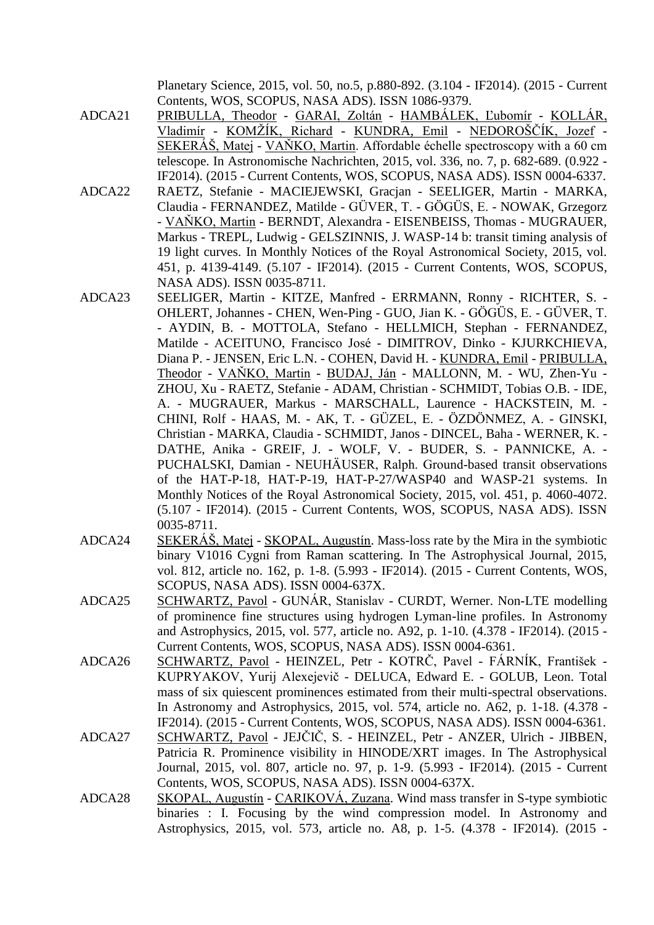Planetary Science, 2015, vol. 50, no.5, p.880-892. (3.104 - IF2014). (2015 - Current Contents, WOS, SCOPUS, NASA ADS). ISSN 1086-9379.

- ADCA21 PRIBULLA, Theodor GARAI, Zoltán HAMBÁLEK, Ľubomír KOLLÁR, Vladimír - KOMŽÍK, Richard - KUNDRA, Emil - NEDOROŠČÍK, Jozef -SEKERÁŠ, Matej - VAŇKO, Martin. Affordable échelle spectroscopy with a 60 cm telescope. In Astronomische Nachrichten, 2015, vol. 336, no. 7, p. 682-689. (0.922 - IF2014). (2015 - Current Contents, WOS, SCOPUS, NASA ADS). ISSN 0004-6337.
- ADCA22 RAETZ, Stefanie MACIEJEWSKI, Gracjan SEELIGER, Martin MARKA, Claudia - FERNANDEZ, Matilde - GÜVER, T. - GÖGÜS, E. - NOWAK, Grzegorz - VAŇKO, Martin - BERNDT, Alexandra - EISENBEISS, Thomas - MUGRAUER, Markus - TREPL, Ludwig - GELSZINNIS, J. WASP-14 b: transit timing analysis of 19 light curves. In Monthly Notices of the Royal Astronomical Society, 2015, vol. 451, p. 4139-4149. (5.107 - IF2014). (2015 - Current Contents, WOS, SCOPUS, NASA ADS). ISSN 0035-8711.
- ADCA23 SEELIGER, Martin KITZE, Manfred ERRMANN, Ronny RICHTER, S. OHLERT, Johannes - CHEN, Wen-Ping - GUO, Jian K. - GÖGÜS, E. - GÜVER, T. - AYDIN, B. - MOTTOLA, Stefano - HELLMICH, Stephan - FERNANDEZ, Matilde - ACEITUNO, Francisco José - DIMITROV, Dinko - KJURKCHIEVA, Diana P. - JENSEN, Eric L.N. - COHEN, David H. - KUNDRA, Emil - PRIBULLA, Theodor - VAŇKO, Martin - BUDAJ, Ján - MALLONN, M. - WU, Zhen-Yu - ZHOU, Xu - RAETZ, Stefanie - ADAM, Christian - SCHMIDT, Tobias O.B. - IDE, A. - MUGRAUER, Markus - MARSCHALL, Laurence - HACKSTEIN, M. - CHINI, Rolf - HAAS, M. - AK, T. - GÜZEL, E. - ÖZDÖNMEZ, A. - GINSKI, Christian - MARKA, Claudia - SCHMIDT, Janos - DINCEL, Baha - WERNER, K. - DATHE, Anika - GREIF, J. - WOLF, V. - BUDER, S. - PANNICKE, A. - PUCHALSKI, Damian - NEUHÄUSER, Ralph. Ground-based transit observations of the HAT-P-18, HAT-P-19, HAT-P-27/WASP40 and WASP-21 systems. In Monthly Notices of the Royal Astronomical Society, 2015, vol. 451, p. 4060-4072. (5.107 - IF2014). (2015 - Current Contents, WOS, SCOPUS, NASA ADS). ISSN 0035-8711.
- ADCA24 SEKERÁŠ, Matej SKOPAL, Augustín. Mass-loss rate by the Mira in the symbiotic binary V1016 Cygni from Raman scattering. In The Astrophysical Journal, 2015, vol. 812, article no. 162, p. 1-8. (5.993 - IF2014). (2015 - Current Contents, WOS, SCOPUS, NASA ADS). ISSN 0004-637X.
- ADCA25 SCHWARTZ, Pavol GUNÁR, Stanislav CURDT, Werner. Non-LTE modelling of prominence fine structures using hydrogen Lyman-line profiles. In Astronomy and Astrophysics, 2015, vol. 577, article no. A92, p. 1-10. (4.378 - IF2014). (2015 - Current Contents, WOS, SCOPUS, NASA ADS). ISSN 0004-6361.
- ADCA26 SCHWARTZ, Pavol HEINZEL, Petr KOTRČ, Pavel FÁRNÍK, František KUPRYAKOV, Yurij Alexejevič - DELUCA, Edward E. - GOLUB, Leon. Total mass of six quiescent prominences estimated from their multi-spectral observations. In Astronomy and Astrophysics, 2015, vol. 574, article no. A62, p. 1-18. (4.378 - IF2014). (2015 - Current Contents, WOS, SCOPUS, NASA ADS). ISSN 0004-6361.
- ADCA27 SCHWARTZ, Pavol JEJČIČ, S. HEINZEL, Petr ANZER, Ulrich JIBBEN, Patricia R. Prominence visibility in HINODE/XRT images. In The Astrophysical Journal, 2015, vol. 807, article no. 97, p. 1-9. (5.993 - IF2014). (2015 - Current Contents, WOS, SCOPUS, NASA ADS). ISSN 0004-637X.
- ADCA28 SKOPAL, Augustín CARIKOVÁ, Zuzana. Wind mass transfer in S-type symbiotic binaries : I. Focusing by the wind compression model. In Astronomy and Astrophysics, 2015, vol. 573, article no. A8, p. 1-5. (4.378 - IF2014). (2015 -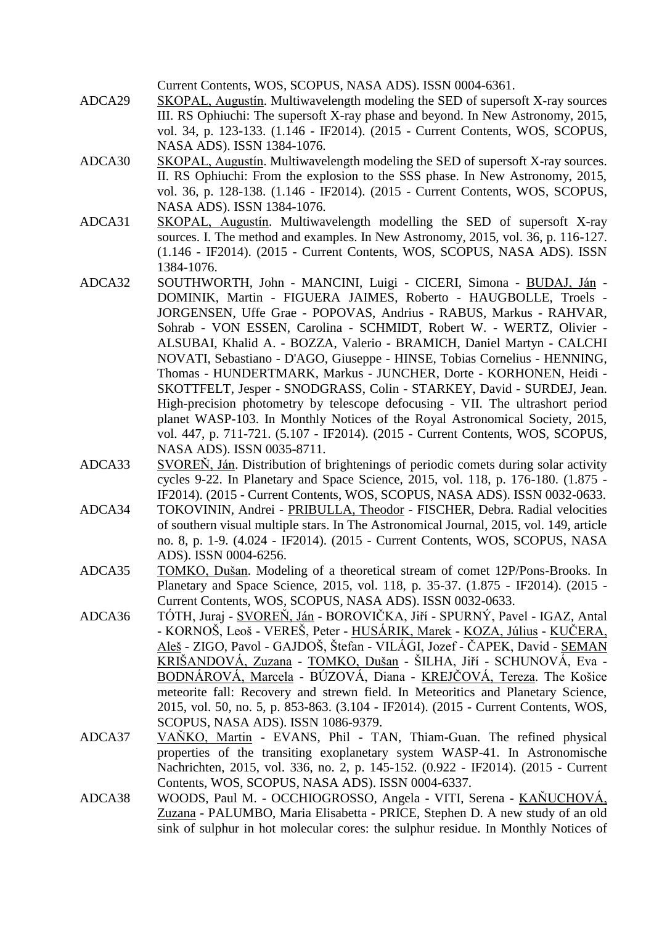Current Contents, WOS, SCOPUS, NASA ADS). ISSN 0004-6361.

- ADCA29 SKOPAL, Augustín. Multiwavelength modeling the SED of supersoft X-ray sources III. RS Ophiuchi: The supersoft X-ray phase and beyond. In New Astronomy, 2015, vol. 34, p. 123-133. (1.146 - IF2014). (2015 - Current Contents, WOS, SCOPUS, NASA ADS). ISSN 1384-1076.
- ADCA30 SKOPAL, Augustín. Multiwavelength modeling the SED of supersoft X-ray sources. II. RS Ophiuchi: From the explosion to the SSS phase. In New Astronomy, 2015, vol. 36, p. 128-138. (1.146 - IF2014). (2015 - Current Contents, WOS, SCOPUS, NASA ADS). ISSN 1384-1076.
- ADCA31 SKOPAL, Augustín. Multiwavelength modelling the SED of supersoft X-ray sources. I. The method and examples. In New Astronomy, 2015, vol. 36, p. 116-127. (1.146 - IF2014). (2015 - Current Contents, WOS, SCOPUS, NASA ADS). ISSN 1384-1076.
- ADCA32 SOUTHWORTH, John MANCINI, Luigi CICERI, Simona BUDAJ, Ján DOMINIK, Martin - FIGUERA JAIMES, Roberto - HAUGBOLLE, Troels - JORGENSEN, Uffe Grae - POPOVAS, Andrius - RABUS, Markus - RAHVAR, Sohrab - VON ESSEN, Carolina - SCHMIDT, Robert W. - WERTZ, Olivier - ALSUBAI, Khalid A. - BOZZA, Valerio - BRAMICH, Daniel Martyn - CALCHI NOVATI, Sebastiano - D'AGO, Giuseppe - HINSE, Tobias Cornelius - HENNING, Thomas - HUNDERTMARK, Markus - JUNCHER, Dorte - KORHONEN, Heidi - SKOTTFELT, Jesper - SNODGRASS, Colin - STARKEY, David - SURDEJ, Jean. High-precision photometry by telescope defocusing - VII. The ultrashort period planet WASP-103. In Monthly Notices of the Royal Astronomical Society, 2015, vol. 447, p. 711-721. (5.107 - IF2014). (2015 - Current Contents, WOS, SCOPUS, NASA ADS). ISSN 0035-8711.
- ADCA33 SVOREŇ, Ján. Distribution of brightenings of periodic comets during solar activity cycles 9-22. In Planetary and Space Science, 2015, vol. 118, p. 176-180. (1.875 - IF2014). (2015 - Current Contents, WOS, SCOPUS, NASA ADS). ISSN 0032-0633.
- ADCA34 TOKOVININ, Andrei PRIBULLA, Theodor FISCHER, Debra. Radial velocities of southern visual multiple stars. In The Astronomical Journal, 2015, vol. 149, article no. 8, p. 1-9. (4.024 - IF2014). (2015 - Current Contents, WOS, SCOPUS, NASA ADS). ISSN 0004-6256.
- ADCA35 TOMKO, Dušan. Modeling of a theoretical stream of comet 12P/Pons-Brooks. In Planetary and Space Science, 2015, vol. 118, p. 35-37. (1.875 - IF2014). (2015 - Current Contents, WOS, SCOPUS, NASA ADS). ISSN 0032-0633.
- ADCA36 TÓTH, Juraj SVOREŇ, Ján BOROVIČKA, Jiří SPURNÝ, Pavel IGAZ, Antal - KORNOŠ, Leoš - VEREŠ, Peter - HUSÁRIK, Marek - KOZA, Július - KUČERA, Aleš - ZIGO, Pavol - GAJDOŠ, Štefan - VILÁGI, Jozef - ČAPEK, David - SEMAN KRIŠANDOVÁ, Zuzana - TOMKO, Dušan - ŠILHA, Jiří - SCHUNOVÁ, Eva - BODNÁROVÁ, Marcela - BÚZOVÁ, Diana - KREJČOVÁ, Tereza. The Košice meteorite fall: Recovery and strewn field. In Meteoritics and Planetary Science, 2015, vol. 50, no. 5, p. 853-863. (3.104 - IF2014). (2015 - Current Contents, WOS, SCOPUS, NASA ADS). ISSN 1086-9379.
- ADCA37 VAŇKO, Martin EVANS, Phil TAN, Thiam-Guan. The refined physical properties of the transiting exoplanetary system WASP-41. In Astronomische Nachrichten, 2015, vol. 336, no. 2, p. 145-152. (0.922 - IF2014). (2015 - Current Contents, WOS, SCOPUS, NASA ADS). ISSN 0004-6337.
- ADCA38 WOODS, Paul M. OCCHIOGROSSO, Angela VITI, Serena KAŇUCHOVÁ, Zuzana - PALUMBO, Maria Elisabetta - PRICE, Stephen D. A new study of an old sink of sulphur in hot molecular cores: the sulphur residue. In Monthly Notices of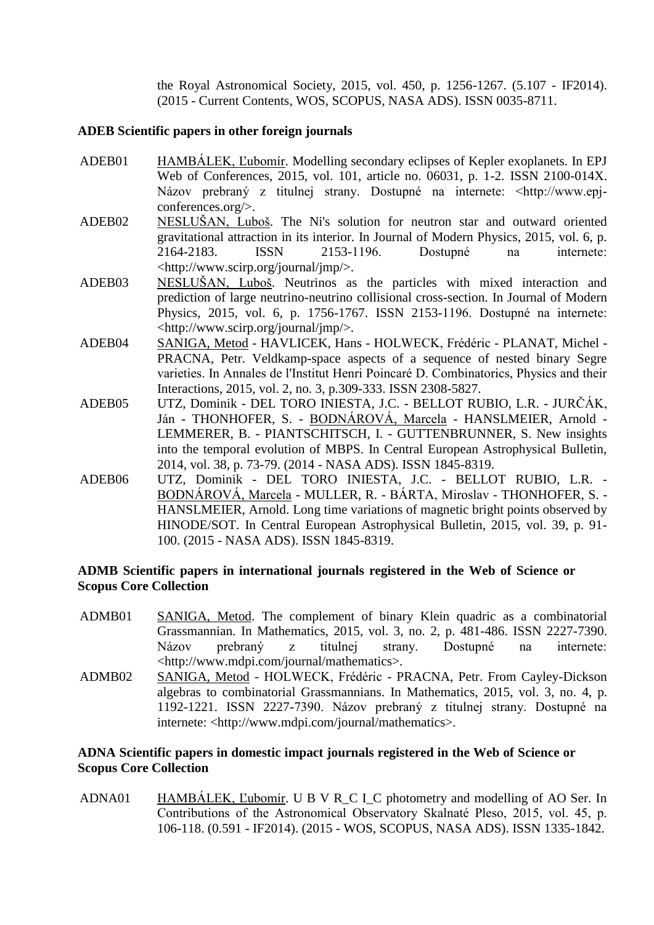the Royal Astronomical Society, 2015, vol. 450, p. 1256-1267. (5.107 - IF2014). (2015 - Current Contents, WOS, SCOPUS, NASA ADS). ISSN 0035-8711.

#### **ADEB Scientific papers in other foreign journals**

- ADEB01 HAMBÁLEK, Ľubomír. Modelling secondary eclipses of Kepler exoplanets. In EPJ Web of Conferences, 2015, vol. 101, article no. 06031, p. 1-2. ISSN 2100-014X. Názov prebraný z titulnej strany. Dostupné na internete: <http://www.epjconferences.org/>.
- ADEB02 NESLUŠAN, Luboš. The Ni's solution for neutron star and outward oriented gravitational attraction in its interior. In Journal of Modern Physics, 2015, vol. 6, p. 2164-2183. ISSN 2153-1196. Dostupné na internete: <http://www.scirp.org/journal/jmp/>.
- ADEB03 NESLUŠAN, Luboš. Neutrinos as the particles with mixed interaction and prediction of large neutrino-neutrino collisional cross-section. In Journal of Modern Physics, 2015, vol. 6, p. 1756-1767. ISSN 2153-1196. Dostupné na internete: <http://www.scirp.org/journal/jmp/>.
- ADEB04 SANIGA, Metod HAVLICEK, Hans HOLWECK, Frédéric PLANAT, Michel PRACNA, Petr. Veldkamp-space aspects of a sequence of nested binary Segre varieties. In Annales de l'Institut Henri Poincaré D. Combinatorics, Physics and their Interactions, 2015, vol. 2, no. 3, p.309-333. ISSN 2308-5827.
- ADEB05 UTZ, Dominik DEL TORO INIESTA, J.C. BELLOT RUBIO, L.R. JURČÁK, Ján - THONHOFER, S. - BODNÁROVÁ, Marcela - HANSLMEIER, Arnold - LEMMERER, B. - PIANTSCHITSCH, I. - GUTTENBRUNNER, S. New insights into the temporal evolution of MBPS. In Central European Astrophysical Bulletin, 2014, vol. 38, p. 73-79. (2014 - NASA ADS). ISSN 1845-8319.
- ADEB06 UTZ, Dominik DEL TORO INIESTA, J.C. BELLOT RUBIO, L.R. BODNÁROVÁ, Marcela - MULLER, R. - BÁRTA, Miroslav - THONHOFER, S. - HANSLMEIER, Arnold. Long time variations of magnetic bright points observed by HINODE/SOT. In Central European Astrophysical Bulletin, 2015, vol. 39, p. 91- 100. (2015 - NASA ADS). ISSN 1845-8319.

## **ADMB Scientific papers in international journals registered in the Web of Science or Scopus Core Collection**

- ADMB01 SANIGA, Metod. The complement of binary Klein quadric as a combinatorial Grassmannian. In Mathematics, 2015, vol. 3, no. 2, p. 481-486. ISSN 2227-7390. Názov prebraný z titulnej strany. Dostupné na internete: <http://www.mdpi.com/journal/mathematics>.
- ADMB02 SANIGA, Metod HOLWECK, Frédéric PRACNA, Petr. From Cayley-Dickson algebras to combinatorial Grassmannians. In Mathematics, 2015, vol. 3, no. 4, p. 1192-1221. ISSN 2227-7390. Názov prebraný z titulnej strany. Dostupné na internete: <http://www.mdpi.com/journal/mathematics>.

## **ADNA Scientific papers in domestic impact journals registered in the Web of Science or Scopus Core Collection**

ADNA01 HAMBÁLEK, Ľubomír. U B V R\_C I\_C photometry and modelling of AO Ser. In Contributions of the Astronomical Observatory Skalnaté Pleso, 2015, vol. 45, p. 106-118. (0.591 - IF2014). (2015 - WOS, SCOPUS, NASA ADS). ISSN 1335-1842.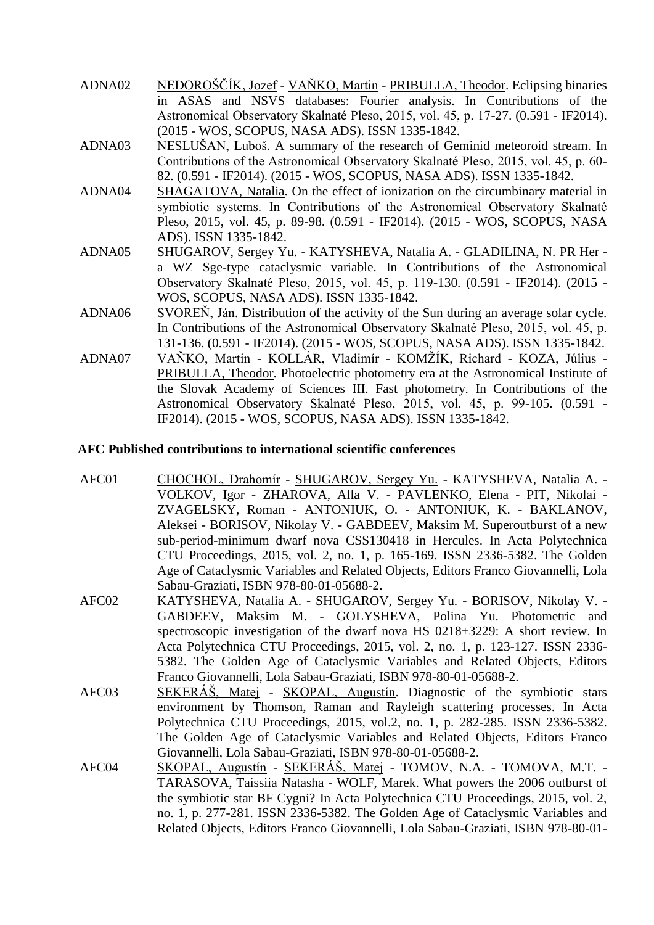| ADNA02 | NEDOROŠČÍK, Jozef - VAŇKO, Martin - PRIBULLA, Theodor. Eclipsing binaries           |
|--------|-------------------------------------------------------------------------------------|
|        | in ASAS and NSVS databases: Fourier analysis. In Contributions of the               |
|        | Astronomical Observatory Skalnaté Pleso, 2015, vol. 45, p. 17-27. (0.591 - IF2014). |
|        | (2015 - WOS, SCOPUS, NASA ADS). ISSN 1335-1842.                                     |
| ADNA03 | NESLUŠAN, Luboš. A summary of the research of Geminid meteoroid stream. In          |
|        | Contributions of the Astronomical Observatory Skalnaté Pleso, 2015, vol. 45, p. 60- |
|        | 82. (0.591 - IF2014). (2015 - WOS, SCOPUS, NASA ADS). ISSN 1335-1842.               |
| ADNA04 | SHAGATOVA, Natalia. On the effect of ionization on the circumbinary material in     |
|        | symbiotic systems. In Contributions of the Astronomical Observatory Skalnaté        |
|        | Pleso, 2015, vol. 45, p. 89-98. (0.591 - IF2014). (2015 - WOS, SCOPUS, NASA         |
|        | ADS). ISSN 1335-1842.                                                               |
| ADNA05 | SHUGAROV, Sergey Yu. - KATYSHEVA, Natalia A. - GLADILINA, N. PR Her -               |
|        | a WZ Sge-type cataclysmic variable. In Contributions of the Astronomical            |
|        | Observatory Skalnaté Pleso, 2015, vol. 45, p. 119-130. (0.591 - IF2014). (2015 -    |
|        | WOS, SCOPUS, NASA ADS). ISSN 1335-1842.                                             |
| ADNA06 | SVOREŇ, Ján. Distribution of the activity of the Sun during an average solar cycle. |
|        | In Contributions of the Astronomical Observatory Skalnaté Pleso, 2015, vol. 45, p.  |
|        | 131-136. (0.591 - IF2014). (2015 - WOS, SCOPUS, NASA ADS). ISSN 1335-1842.          |
| ADNA07 | VAŇKO, Martin - KOLLÁR, Vladimír - KOMŽÍK, Richard - KOZA, Július -                 |
|        | PRIBULLA, Theodor. Photoelectric photometry era at the Astronomical Institute of    |
|        | the Slovak Academy of Sciences III. Fast photometry. In Contributions of the        |
|        | Astronomical Observatory Skalnaté Pleso, 2015, vol. 45, p. 99-105. (0.591 -         |

# **AFC Published contributions to international scientific conferences**

AFC01 CHOCHOL, Drahomír - SHUGAROV, Sergey Yu. - KATYSHEVA, Natalia A. - VOLKOV, Igor - ZHAROVA, Alla V. - PAVLENKO, Elena - PIT, Nikolai - ZVAGELSKY, Roman - ANTONIUK, O. - ANTONIUK, K. - BAKLANOV, Aleksei - BORISOV, Nikolay V. - GABDEEV, Maksim M. Superoutburst of a new sub-period-minimum dwarf nova CSS130418 in Hercules. In Acta Polytechnica CTU Proceedings, 2015, vol. 2, no. 1, p. 165-169. ISSN 2336-5382. The Golden Age of Cataclysmic Variables and Related Objects, Editors Franco Giovannelli, Lola Sabau-Graziati, ISBN 978-80-01-05688-2.

IF2014). (2015 - WOS, SCOPUS, NASA ADS). ISSN 1335-1842.

- AFC02 KATYSHEVA, Natalia A. SHUGAROV, Sergey Yu. BORISOV, Nikolay V. GABDEEV, Maksim M. - GOLYSHEVA, Polina Yu. Photometric and spectroscopic investigation of the dwarf nova HS 0218+3229: A short review. In Acta Polytechnica CTU Proceedings, 2015, vol. 2, no. 1, p. 123-127. ISSN 2336- 5382. The Golden Age of Cataclysmic Variables and Related Objects, Editors Franco Giovannelli, Lola Sabau-Graziati, ISBN 978-80-01-05688-2.
- AFC03 SEKERÁŠ, Matej SKOPAL, Augustín. Diagnostic of the symbiotic stars environment by Thomson, Raman and Rayleigh scattering processes. In Acta Polytechnica CTU Proceedings, 2015, vol.2, no. 1, p. 282-285. ISSN 2336-5382. The Golden Age of Cataclysmic Variables and Related Objects, Editors Franco Giovannelli, Lola Sabau-Graziati, ISBN 978-80-01-05688-2.
- AFC04 SKOPAL, Augustín SEKERÁŠ, Matej TOMOV, N.A. TOMOVA, M.T. TARASOVA, Taissiia Natasha - WOLF, Marek. What powers the 2006 outburst of the symbiotic star BF Cygni? In Acta Polytechnica CTU Proceedings, 2015, vol. 2, no. 1, p. 277-281. ISSN 2336-5382. The Golden Age of Cataclysmic Variables and Related Objects, Editors Franco Giovannelli, Lola Sabau-Graziati, ISBN 978-80-01-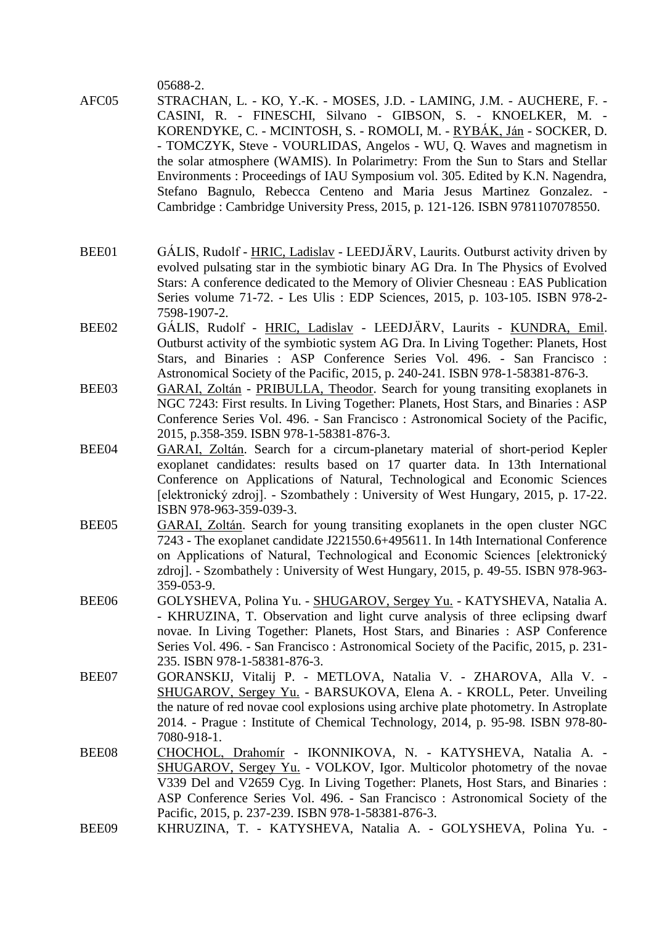05688-2.

- AFC05 STRACHAN, L. KO, Y.-K. MOSES, J.D. LAMING, J.M. AUCHERE, F. CASINI, R. - FINESCHI, Silvano - GIBSON, S. - KNOELKER, M. - KORENDYKE, C. - MCINTOSH, S. - ROMOLI, M. - RYBÁK, Ján - SOCKER, D. - TOMCZYK, Steve - VOURLIDAS, Angelos - WU, Q. Waves and magnetism in the solar atmosphere (WAMIS). In Polarimetry: From the Sun to Stars and Stellar Environments : Proceedings of IAU Symposium vol. 305. Edited by K.N. Nagendra, Stefano Bagnulo, Rebecca Centeno and Maria Jesus Martinez Gonzalez. - Cambridge : Cambridge University Press, 2015, p. 121-126. ISBN 9781107078550.
- BEE01 GÁLIS, Rudolf HRIC, Ladislav LEEDJÄRV, Laurits. Outburst activity driven by evolved pulsating star in the symbiotic binary AG Dra. In The Physics of Evolved Stars: A conference dedicated to the Memory of Olivier Chesneau : EAS Publication Series volume 71-72. - Les Ulis : EDP Sciences, 2015, p. 103-105. ISBN 978-2- 7598-1907-2.
- BEE02 GÁLIS, Rudolf HRIC, Ladislav LEEDJÄRV, Laurits KUNDRA, Emil. Outburst activity of the symbiotic system AG Dra. In Living Together: Planets, Host Stars, and Binaries : ASP Conference Series Vol. 496. - San Francisco : Astronomical Society of the Pacific, 2015, p. 240-241. ISBN 978-1-58381-876-3.
- BEE03 GARAI, Zoltán PRIBULLA, Theodor. Search for young transiting exoplanets in NGC 7243: First results. In Living Together: Planets, Host Stars, and Binaries : ASP Conference Series Vol. 496. - San Francisco : Astronomical Society of the Pacific, 2015, p.358-359. ISBN 978-1-58381-876-3.
- BEE04 GARAI, Zoltán. Search for a circum-planetary material of short-period Kepler exoplanet candidates: results based on 17 quarter data. In 13th International Conference on Applications of Natural, Technological and Economic Sciences [elektronický zdroj]. - Szombathely : University of West Hungary, 2015, p. 17-22. ISBN 978-963-359-039-3.
- BEE05 GARAI, Zoltán. Search for young transiting exoplanets in the open cluster NGC 7243 - The exoplanet candidate J221550.6+495611. In 14th International Conference on Applications of Natural, Technological and Economic Sciences [elektronický zdroj]. - Szombathely : University of West Hungary, 2015, p. 49-55. ISBN 978-963- 359-053-9.
- BEE06 GOLYSHEVA, Polina Yu. SHUGAROV, Sergey Yu. KATYSHEVA, Natalia A. - KHRUZINA, T. Observation and light curve analysis of three eclipsing dwarf novae. In Living Together: Planets, Host Stars, and Binaries : ASP Conference Series Vol. 496. - San Francisco : Astronomical Society of the Pacific, 2015, p. 231- 235. ISBN 978-1-58381-876-3.
- BEE07 GORANSKIJ, Vitalij P. METLOVA, Natalia V. ZHAROVA, Alla V. SHUGAROV, Sergey Yu. - BARSUKOVA, Elena A. - KROLL, Peter. Unveiling the nature of red novae cool explosions using archive plate photometry. In Astroplate 2014. - Prague : Institute of Chemical Technology, 2014, p. 95-98. ISBN 978-80- 7080-918-1.
- BEE08 CHOCHOL, Drahomír IKONNIKOVA, N. KATYSHEVA, Natalia A. -SHUGAROV, Sergey Yu. - VOLKOV, Igor. Multicolor photometry of the novae V339 Del and V2659 Cyg. In Living Together: Planets, Host Stars, and Binaries : ASP Conference Series Vol. 496. - San Francisco : Astronomical Society of the Pacific, 2015, p. 237-239. ISBN 978-1-58381-876-3.
- BEE09 KHRUZINA, T. KATYSHEVA, Natalia A. GOLYSHEVA, Polina Yu. -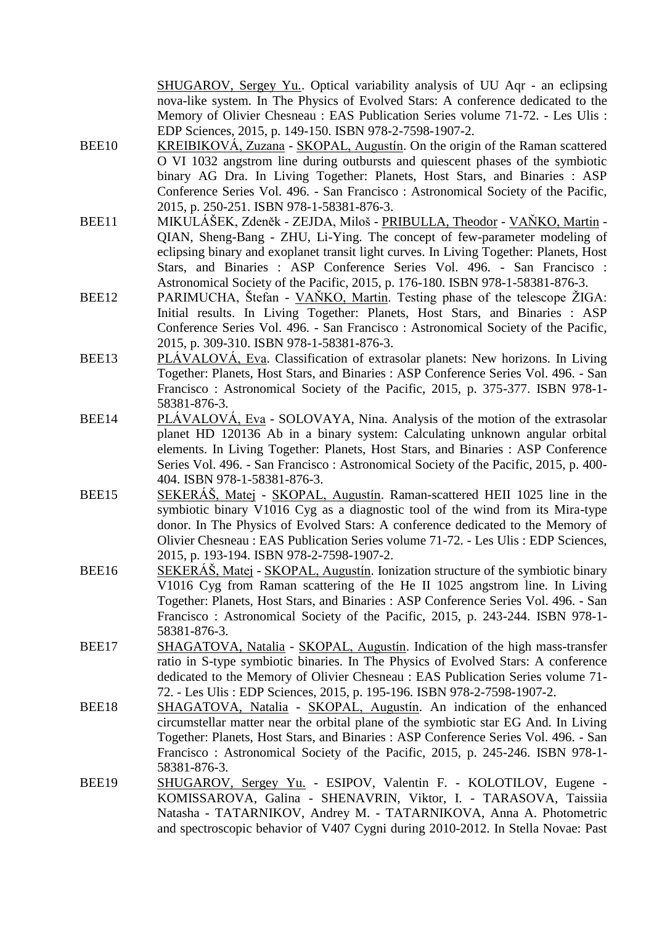SHUGAROV, Sergey Yu.. Optical variability analysis of UU Aqr - an eclipsing nova-like system. In The Physics of Evolved Stars: A conference dedicated to the Memory of Olivier Chesneau : EAS Publication Series volume 71-72. - Les Ulis : EDP Sciences, 2015, p. 149-150. ISBN 978-2-7598-1907-2.

- BEE10 KREIBIKOVÁ, Zuzana SKOPAL, Augustín. On the origin of the Raman scattered O VI 1032 angstrom line during outbursts and quiescent phases of the symbiotic binary AG Dra. In Living Together: Planets, Host Stars, and Binaries : ASP Conference Series Vol. 496. - San Francisco : Astronomical Society of the Pacific, 2015, p. 250-251. ISBN 978-1-58381-876-3.
- BEE11 MIKULÁŠEK, Zdeněk ZEJDA, Miloš PRIBULLA, Theodor VAŇKO, Martin -QIAN, Sheng-Bang - ZHU, Li-Ying. The concept of few-parameter modeling of eclipsing binary and exoplanet transit light curves. In Living Together: Planets, Host Stars, and Binaries : ASP Conference Series Vol. 496. - San Francisco : Astronomical Society of the Pacific, 2015, p. 176-180. ISBN 978-1-58381-876-3.
- BEE12 PARIMUCHA, Štefan VAŇKO, Martin. Testing phase of the telescope ŽIGA: Initial results. In Living Together: Planets, Host Stars, and Binaries : ASP Conference Series Vol. 496. - San Francisco : Astronomical Society of the Pacific, 2015, p. 309-310. ISBN 978-1-58381-876-3.
- BEE13 PLÁVALOVÁ, Eva. Classification of extrasolar planets: New horizons. In Living Together: Planets, Host Stars, and Binaries : ASP Conference Series Vol. 496. - San Francisco : Astronomical Society of the Pacific, 2015, p. 375-377. ISBN 978-1- 58381-876-3.
- BEE14 PLÁVALOVÁ, Eva SOLOVAYA, Nina. Analysis of the motion of the extrasolar planet HD 120136 Ab in a binary system: Calculating unknown angular orbital elements. In Living Together: Planets, Host Stars, and Binaries : ASP Conference Series Vol. 496. - San Francisco : Astronomical Society of the Pacific, 2015, p. 400- 404. ISBN 978-1-58381-876-3.
- BEE15 SEKERÁŠ, Matej SKOPAL, Augustín. Raman-scattered HEII 1025 line in the symbiotic binary V1016 Cyg as a diagnostic tool of the wind from its Mira-type donor. In The Physics of Evolved Stars: A conference dedicated to the Memory of Olivier Chesneau : EAS Publication Series volume 71-72. - Les Ulis : EDP Sciences, 2015, p. 193-194. ISBN 978-2-7598-1907-2.
- BEE16 SEKERÁŠ, Matej SKOPAL, Augustín. Ionization structure of the symbiotic binary V1016 Cyg from Raman scattering of the He II 1025 angstrom line. In Living Together: Planets, Host Stars, and Binaries : ASP Conference Series Vol. 496. - San Francisco : Astronomical Society of the Pacific, 2015, p. 243-244. ISBN 978-1- 58381-876-3.
- BEE17 SHAGATOVA, Natalia SKOPAL, Augustín. Indication of the high mass-transfer ratio in S-type symbiotic binaries. In The Physics of Evolved Stars: A conference dedicated to the Memory of Olivier Chesneau : EAS Publication Series volume 71- 72. - Les Ulis : EDP Sciences, 2015, p. 195-196. ISBN 978-2-7598-1907-2.
- BEE18 SHAGATOVA, Natalia SKOPAL, Augustín. An indication of the enhanced circumstellar matter near the orbital plane of the symbiotic star EG And. In Living Together: Planets, Host Stars, and Binaries : ASP Conference Series Vol. 496. - San Francisco : Astronomical Society of the Pacific, 2015, p. 245-246. ISBN 978-1- 58381-876-3.
- BEE19 SHUGAROV, Sergey Yu. ESIPOV, Valentin F. KOLOTILOV, Eugene KOMISSAROVA, Galina - SHENAVRIN, Viktor, I. - TARASOVA, Taissiia Natasha - TATARNIKOV, Andrey M. - TATARNIKOVA, Anna A. Photometric and spectroscopic behavior of V407 Cygni during 2010-2012. In Stella Novae: Past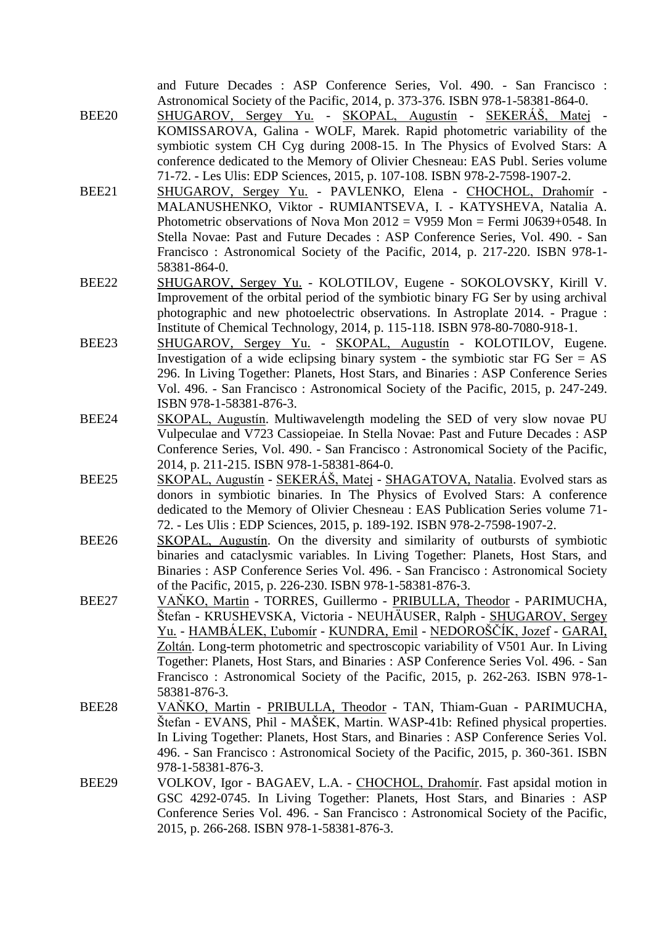| BEE20 | and Future Decades : ASP Conference Series, Vol. 490. - San Francisco :<br>Astronomical Society of the Pacific, 2014, p. 373-376. ISBN 978-1-58381-864-0.<br><u>SHUGAROV, Sergey Yu.</u> - SKOPAL, Augustín - SEKERÁŠ, Matej -                                                                                                                                                                                                                                                                         |
|-------|--------------------------------------------------------------------------------------------------------------------------------------------------------------------------------------------------------------------------------------------------------------------------------------------------------------------------------------------------------------------------------------------------------------------------------------------------------------------------------------------------------|
|       | KOMISSAROVA, Galina - WOLF, Marek. Rapid photometric variability of the<br>symbiotic system CH Cyg during 2008-15. In The Physics of Evolved Stars: A<br>conference dedicated to the Memory of Olivier Chesneau: EAS Publ. Series volume<br>71-72. - Les Ulis: EDP Sciences, 2015, p. 107-108. ISBN 978-2-7598-1907-2.                                                                                                                                                                                 |
| BEE21 | SHUGAROV, Sergey Yu. - PAVLENKO, Elena - CHOCHOL, Drahomír -<br>MALANUSHENKO, Viktor - RUMIANTSEVA, I. - KATYSHEVA, Natalia A.<br>Photometric observations of Nova Mon $2012 = V959$ Mon = Fermi J0639+0548. In<br>Stella Novae: Past and Future Decades : ASP Conference Series, Vol. 490. - San<br>Francisco: Astronomical Society of the Pacific, 2014, p. 217-220. ISBN 978-1-                                                                                                                     |
| BEE22 | 58381-864-0.<br>SHUGAROV, Sergey Yu. - KOLOTILOV, Eugene - SOKOLOVSKY, Kirill V.<br>Improvement of the orbital period of the symbiotic binary FG Ser by using archival<br>photographic and new photoelectric observations. In Astroplate 2014. - Prague:<br>Institute of Chemical Technology, 2014, p. 115-118. ISBN 978-80-7080-918-1.                                                                                                                                                                |
| BEE23 | SHUGAROV, Sergey Yu. - SKOPAL, Augustín - KOLOTILOV, Eugene.<br>Investigation of a wide eclipsing binary system - the symbiotic star FG Ser $= AS$<br>296. In Living Together: Planets, Host Stars, and Binaries: ASP Conference Series<br>Vol. 496. - San Francisco: Astronomical Society of the Pacific, 2015, p. 247-249.<br>ISBN 978-1-58381-876-3.                                                                                                                                                |
| BEE24 | SKOPAL, Augustin. Multiwavelength modeling the SED of very slow novae PU<br>Vulpeculae and V723 Cassiopeiae. In Stella Novae: Past and Future Decades : ASP<br>Conference Series, Vol. 490. - San Francisco: Astronomical Society of the Pacific,<br>2014, p. 211-215. ISBN 978-1-58381-864-0.                                                                                                                                                                                                         |
| BEE25 | SKOPAL, Augustín - SEKERÁŠ, Matej - SHAGATOVA, Natalia. Evolved stars as<br>donors in symbiotic binaries. In The Physics of Evolved Stars: A conference<br>dedicated to the Memory of Olivier Chesneau : EAS Publication Series volume 71-<br>72. - Les Ulis: EDP Sciences, 2015, p. 189-192. ISBN 978-2-7598-1907-2.                                                                                                                                                                                  |
| BEE26 | SKOPAL, Augustin. On the diversity and similarity of outbursts of symbiotic<br>binaries and cataclysmic variables. In Living Together: Planets, Host Stars, and<br>Binaries : ASP Conference Series Vol. 496. - San Francisco : Astronomical Society<br>of the Pacific, 2015, p. 226-230. ISBN 978-1-58381-876-3.                                                                                                                                                                                      |
| BEE27 | VAŇKO, Martin - TORRES, Guillermo - PRIBULLA, Theodor - PARIMUCHA,<br>Štefan - KRUSHEVSKA, Victoria - NEUHÄUSER, Ralph - SHUGAROV, Sergey<br><u> Yu. - HAMBÁLEK, Ľubomír - KUNDRA, Emil - NEDOROŠČÍK, Jozef - GARAI,</u><br>Zoltán. Long-term photometric and spectroscopic variability of V501 Aur. In Living<br>Together: Planets, Host Stars, and Binaries : ASP Conference Series Vol. 496. - San<br>Francisco: Astronomical Society of the Pacific, 2015, p. 262-263. ISBN 978-1-<br>58381-876-3. |
| BEE28 | VAŇKO, Martin - PRIBULLA, Theodor - TAN, Thiam-Guan - PARIMUCHA,<br>Štefan - EVANS, Phil - MAŠEK, Martin. WASP-41b: Refined physical properties.<br>In Living Together: Planets, Host Stars, and Binaries: ASP Conference Series Vol.<br>496. - San Francisco: Astronomical Society of the Pacific, 2015, p. 360-361. ISBN<br>978-1-58381-876-3.                                                                                                                                                       |
| BEE29 | VOLKOV, Igor - BAGAEV, L.A. - CHOCHOL, Drahomír. Fast apsidal motion in<br>GSC 4292-0745. In Living Together: Planets, Host Stars, and Binaries : ASP<br>Conference Series Vol. 496. - San Francisco: Astronomical Society of the Pacific,<br>2015, p. 266-268. ISBN 978-1-58381-876-3.                                                                                                                                                                                                                |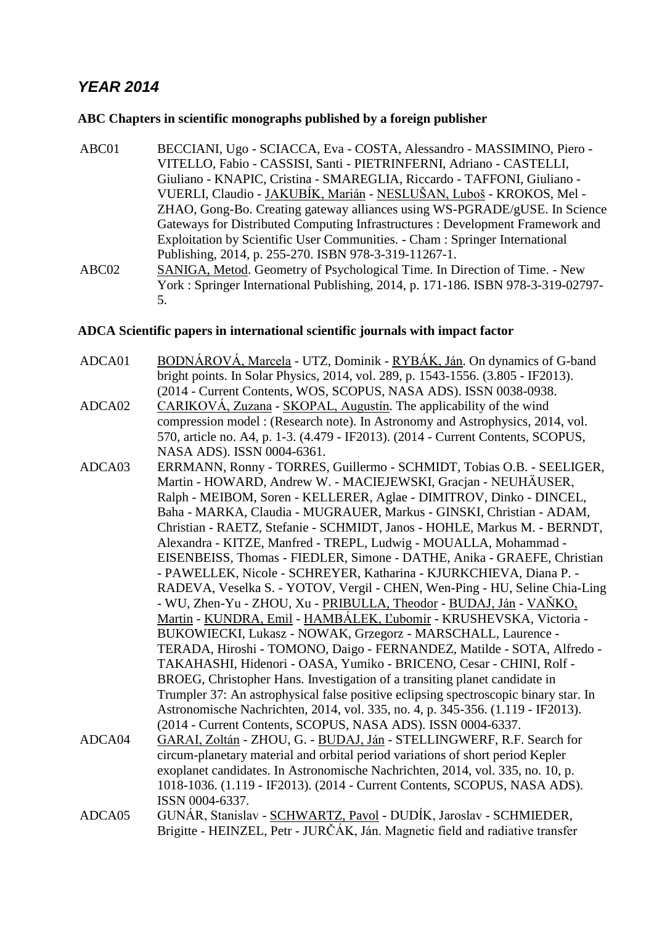# *YEAR 2014*

# **ABC Chapters in scientific monographs published by a foreign publisher**

- ABC01 BECCIANI, Ugo SCIACCA, Eva COSTA, Alessandro MASSIMINO, Piero VITELLO, Fabio - CASSISI, Santi - PIETRINFERNI, Adriano - CASTELLI, Giuliano - KNAPIC, Cristina - SMAREGLIA, Riccardo - TAFFONI, Giuliano - VUERLI, Claudio - JAKUBÍK, Marián - NESLUŠAN, Luboš - KROKOS, Mel - ZHAO, Gong-Bo. Creating gateway alliances using WS-PGRADE/gUSE. In Science Gateways for Distributed Computing Infrastructures : Development Framework and Exploitation by Scientific User Communities. - Cham : Springer International Publishing, 2014, p. 255-270. ISBN 978-3-319-11267-1. ABC02 SANIGA, Metod. Geometry of Psychological Time. In Direction of Time. - New
- York : Springer International Publishing, 2014, p. 171-186. ISBN 978-3-319-02797- 5.

## **ADCA Scientific papers in international scientific journals with impact factor**

- ADCA01 BODNÁROVÁ, Marcela UTZ, Dominik RYBÁK, Ján. On dynamics of G-band bright points. In Solar Physics, 2014, vol. 289, p. 1543-1556. (3.805 - IF2013). (2014 - Current Contents, WOS, SCOPUS, NASA ADS). ISSN 0038-0938.
- ADCA02 CARIKOVÁ, Zuzana SKOPAL, Augustín. The applicability of the wind compression model : (Research note). In Astronomy and Astrophysics, 2014, vol. 570, article no. A4, p. 1-3. (4.479 - IF2013). (2014 - Current Contents, SCOPUS, NASA ADS). ISSN 0004-6361.
- ADCA03 ERRMANN, Ronny TORRES, Guillermo SCHMIDT, Tobias O.B. SEELIGER, Martin - HOWARD, Andrew W. - MACIEJEWSKI, Gracjan - NEUHÄUSER, Ralph - MEIBOM, Soren - KELLERER, Aglae - DIMITROV, Dinko - DINCEL, Baha - MARKA, Claudia - MUGRAUER, Markus - GINSKI, Christian - ADAM, Christian - RAETZ, Stefanie - SCHMIDT, Janos - HOHLE, Markus M. - BERNDT, Alexandra - KITZE, Manfred - TREPL, Ludwig - MOUALLA, Mohammad - EISENBEISS, Thomas - FIEDLER, Simone - DATHE, Anika - GRAEFE, Christian - PAWELLEK, Nicole - SCHREYER, Katharina - KJURKCHIEVA, Diana P. - RADEVA, Veselka S. - YOTOV, Vergil - CHEN, Wen-Ping - HU, Seline Chia-Ling - WU, Zhen-Yu - ZHOU, Xu - PRIBULLA, Theodor - BUDAJ, Ján - VAŇKO, Martin - KUNDRA, Emil - HAMBÁLEK, Ľubomír - KRUSHEVSKA, Victoria - BUKOWIECKI, Lukasz - NOWAK, Grzegorz - MARSCHALL, Laurence - TERADA, Hiroshi - TOMONO, Daigo - FERNANDEZ, Matilde - SOTA, Alfredo - TAKAHASHI, Hidenori - OASA, Yumiko - BRICENO, Cesar - CHINI, Rolf - BROEG, Christopher Hans. Investigation of a transiting planet candidate in Trumpler 37: An astrophysical false positive eclipsing spectroscopic binary star. In Astronomische Nachrichten, 2014, vol. 335, no. 4, p. 345-356. (1.119 - IF2013). (2014 - Current Contents, SCOPUS, NASA ADS). ISSN 0004-6337.
- ADCA04 GARAI, Zoltán ZHOU, G. BUDAJ, Ján STELLINGWERF, R.F. Search for circum-planetary material and orbital period variations of short period Kepler exoplanet candidates. In Astronomische Nachrichten, 2014, vol. 335, no. 10, p. 1018-1036. (1.119 - IF2013). (2014 - Current Contents, SCOPUS, NASA ADS). ISSN 0004-6337.
- ADCA05 GUNÁR, Stanislav SCHWARTZ, Pavol DUDÍK, Jaroslav SCHMIEDER, Brigitte - HEINZEL, Petr - JURČÁK, Ján. Magnetic field and radiative transfer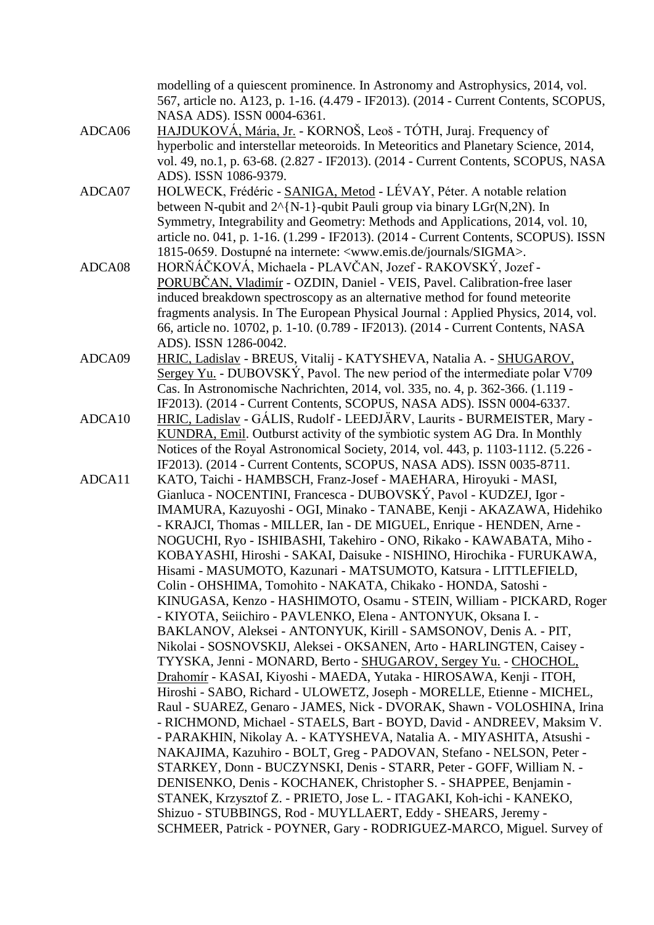modelling of a quiescent prominence. In Astronomy and Astrophysics, 2014, vol. 567, article no. A123, p. 1-16. (4.479 - IF2013). (2014 - Current Contents, SCOPUS, NASA ADS). ISSN 0004-6361.

- ADCA06 HAJDUKOVÁ, Mária, Jr. KORNOŠ, Leoš TÓTH, Juraj. Frequency of hyperbolic and interstellar meteoroids. In Meteoritics and Planetary Science, 2014, vol. 49, no.1, p. 63-68. (2.827 - IF2013). (2014 - Current Contents, SCOPUS, NASA ADS). ISSN 1086-9379.
- ADCA07 HOLWECK, Frédéric SANIGA, Metod LÉVAY, Péter. A notable relation between N-qubit and  $2^{N-1}$ -qubit Pauli group via binary LGr(N,2N). In Symmetry, Integrability and Geometry: Methods and Applications, 2014, vol. 10, article no. 041, p. 1-16. (1.299 - IF2013). (2014 - Current Contents, SCOPUS). ISSN 1815-0659. Dostupné na internete: <www.emis.de/journals/SIGMA>.
- ADCA08 HORŇÁČKOVÁ, Michaela PLAVČAN, Jozef RAKOVSKÝ, Jozef PORUBČAN, Vladimír - OZDIN, Daniel - VEIS, Pavel. Calibration-free laser induced breakdown spectroscopy as an alternative method for found meteorite fragments analysis. In The European Physical Journal : Applied Physics, 2014, vol. 66, article no. 10702, p. 1-10. (0.789 - IF2013). (2014 - Current Contents, NASA ADS). ISSN 1286-0042.
- ADCA09 HRIC, Ladislav BREUS, Vitalij KATYSHEVA, Natalia A. SHUGAROV, Sergey Yu. - DUBOVSKÝ, Pavol. The new period of the intermediate polar V709 Cas. In Astronomische Nachrichten, 2014, vol. 335, no. 4, p. 362-366. (1.119 - IF2013). (2014 - Current Contents, SCOPUS, NASA ADS). ISSN 0004-6337.
- ADCA10 HRIC, Ladislav GÁLIS, Rudolf LEEDJÄRV, Laurits BURMEISTER, Mary KUNDRA, Emil. Outburst activity of the symbiotic system AG Dra. In Monthly Notices of the Royal Astronomical Society, 2014, vol. 443, p. 1103-1112. (5.226 - IF2013). (2014 - Current Contents, SCOPUS, NASA ADS). ISSN 0035-8711.
- ADCA11 KATO, Taichi HAMBSCH, Franz-Josef MAEHARA, Hiroyuki MASI, Gianluca - NOCENTINI, Francesca - DUBOVSKÝ, Pavol - KUDZEJ, Igor - IMAMURA, Kazuyoshi - OGI, Minako - TANABE, Kenji - AKAZAWA, Hidehiko - KRAJCI, Thomas - MILLER, Ian - DE MIGUEL, Enrique - HENDEN, Arne - NOGUCHI, Ryo - ISHIBASHI, Takehiro - ONO, Rikako - KAWABATA, Miho - KOBAYASHI, Hiroshi - SAKAI, Daisuke - NISHINO, Hirochika - FURUKAWA, Hisami - MASUMOTO, Kazunari - MATSUMOTO, Katsura - LITTLEFIELD, Colin - OHSHIMA, Tomohito - NAKATA, Chikako - HONDA, Satoshi - KINUGASA, Kenzo - HASHIMOTO, Osamu - STEIN, William - PICKARD, Roger - KIYOTA, Seiichiro - PAVLENKO, Elena - ANTONYUK, Oksana I. - BAKLANOV, Aleksei - ANTONYUK, Kirill - SAMSONOV, Denis A. - PIT, Nikolai - SOSNOVSKIJ, Aleksei - OKSANEN, Arto - HARLINGTEN, Caisey - TYYSKA, Jenni - MONARD, Berto - SHUGAROV, Sergey Yu. - CHOCHOL, Drahomír - KASAI, Kiyoshi - MAEDA, Yutaka - HIROSAWA, Kenji - ITOH, Hiroshi - SABO, Richard - ULOWETZ, Joseph - MORELLE, Etienne - MICHEL, Raul - SUAREZ, Genaro - JAMES, Nick - DVORAK, Shawn - VOLOSHINA, Irina - RICHMOND, Michael - STAELS, Bart - BOYD, David - ANDREEV, Maksim V. - PARAKHIN, Nikolay A. - KATYSHEVA, Natalia A. - MIYASHITA, Atsushi - NAKAJIMA, Kazuhiro - BOLT, Greg - PADOVAN, Stefano - NELSON, Peter - STARKEY, Donn - BUCZYNSKI, Denis - STARR, Peter - GOFF, William N. - DENISENKO, Denis - KOCHANEK, Christopher S. - SHAPPEE, Benjamin - STANEK, Krzysztof Z. - PRIETO, Jose L. - ITAGAKI, Koh-ichi - KANEKO, Shizuo - STUBBINGS, Rod - MUYLLAERT, Eddy - SHEARS, Jeremy - SCHMEER, Patrick - POYNER, Gary - RODRIGUEZ-MARCO, Miguel. Survey of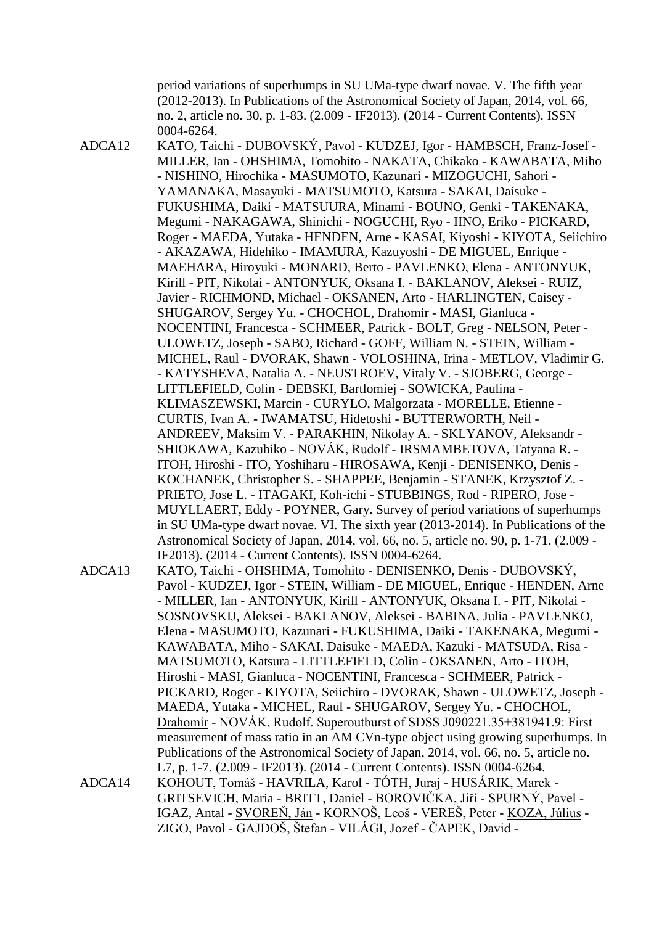period variations of superhumps in SU UMa-type dwarf novae. V. The fifth year (2012-2013). In Publications of the Astronomical Society of Japan, 2014, vol. 66, no. 2, article no. 30, p. 1-83. (2.009 - IF2013). (2014 - Current Contents). ISSN 0004-6264.

ADCA12 KATO, Taichi - DUBOVSKÝ, Pavol - KUDZEJ, Igor - HAMBSCH, Franz-Josef - MILLER, Ian - OHSHIMA, Tomohito - NAKATA, Chikako - KAWABATA, Miho - NISHINO, Hirochika - MASUMOTO, Kazunari - MIZOGUCHI, Sahori - YAMANAKA, Masayuki - MATSUMOTO, Katsura - SAKAI, Daisuke - FUKUSHIMA, Daiki - MATSUURA, Minami - BOUNO, Genki - TAKENAKA, Megumi - NAKAGAWA, Shinichi - NOGUCHI, Ryo - IINO, Eriko - PICKARD, Roger - MAEDA, Yutaka - HENDEN, Arne - KASAI, Kiyoshi - KIYOTA, Seiichiro - AKAZAWA, Hidehiko - IMAMURA, Kazuyoshi - DE MIGUEL, Enrique - MAEHARA, Hiroyuki - MONARD, Berto - PAVLENKO, Elena - ANTONYUK, Kirill - PIT, Nikolai - ANTONYUK, Oksana I. - BAKLANOV, Aleksei - RUIZ, Javier - RICHMOND, Michael - OKSANEN, Arto - HARLINGTEN, Caisey - SHUGAROV, Sergey Yu. - CHOCHOL, Drahomír - MASI, Gianluca - NOCENTINI, Francesca - SCHMEER, Patrick - BOLT, Greg - NELSON, Peter - ULOWETZ, Joseph - SABO, Richard - GOFF, William N. - STEIN, William - MICHEL, Raul - DVORAK, Shawn - VOLOSHINA, Irina - METLOV, Vladimir G. - KATYSHEVA, Natalia A. - NEUSTROEV, Vitaly V. - SJOBERG, George - LITTLEFIELD, Colin - DEBSKI, Bartlomiej - SOWICKA, Paulina - KLIMASZEWSKI, Marcin - CURYLO, Malgorzata - MORELLE, Etienne - CURTIS, Ivan A. - IWAMATSU, Hidetoshi - BUTTERWORTH, Neil - ANDREEV, Maksim V. - PARAKHIN, Nikolay A. - SKLYANOV, Aleksandr - SHIOKAWA, Kazuhiko - NOVÁK, Rudolf - IRSMAMBETOVA, Tatyana R. - ITOH, Hiroshi - ITO, Yoshiharu - HIROSAWA, Kenji - DENISENKO, Denis - KOCHANEK, Christopher S. - SHAPPEE, Benjamin - STANEK, Krzysztof Z. - PRIETO, Jose L. - ITAGAKI, Koh-ichi - STUBBINGS, Rod - RIPERO, Jose - MUYLLAERT, Eddy - POYNER, Gary. Survey of period variations of superhumps in SU UMa-type dwarf novae. VI. The sixth year (2013-2014). In Publications of the Astronomical Society of Japan, 2014, vol. 66, no. 5, article no. 90, p. 1-71. (2.009 - IF2013). (2014 - Current Contents). ISSN 0004-6264.

- ADCA13 KATO, Taichi OHSHIMA, Tomohito DENISENKO, Denis DUBOVSKÝ, Pavol - KUDZEJ, Igor - STEIN, William - DE MIGUEL, Enrique - HENDEN, Arne - MILLER, Ian - ANTONYUK, Kirill - ANTONYUK, Oksana I. - PIT, Nikolai - SOSNOVSKIJ, Aleksei - BAKLANOV, Aleksei - BABINA, Julia - PAVLENKO, Elena - MASUMOTO, Kazunari - FUKUSHIMA, Daiki - TAKENAKA, Megumi - KAWABATA, Miho - SAKAI, Daisuke - MAEDA, Kazuki - MATSUDA, Risa - MATSUMOTO, Katsura - LITTLEFIELD, Colin - OKSANEN, Arto - ITOH, Hiroshi - MASI, Gianluca - NOCENTINI, Francesca - SCHMEER, Patrick - PICKARD, Roger - KIYOTA, Seiichiro - DVORAK, Shawn - ULOWETZ, Joseph - MAEDA, Yutaka - MICHEL, Raul - SHUGAROV, Sergey Yu. - CHOCHOL, Drahomír - NOVÁK, Rudolf. Superoutburst of SDSS J090221.35+381941.9: First measurement of mass ratio in an AM CVn-type object using growing superhumps. In Publications of the Astronomical Society of Japan, 2014, vol. 66, no. 5, article no. L7, p. 1-7. (2.009 - IF2013). (2014 - Current Contents). ISSN 0004-6264. ADCA14 KOHOUT, Tomáš - HAVRILA, Karol - TÓTH, Juraj - HUSÁRIK, Marek -
- GRITSEVICH, Maria BRITT, Daniel BOROVIČKA, Jiří SPURNÝ, Pavel IGAZ, Antal - SVOREŇ, Ján - KORNOŠ, Leoš - VEREŠ, Peter - KOZA, Július - ZIGO, Pavol - GAJDOŠ, Štefan - VILÁGI, Jozef - ČAPEK, David -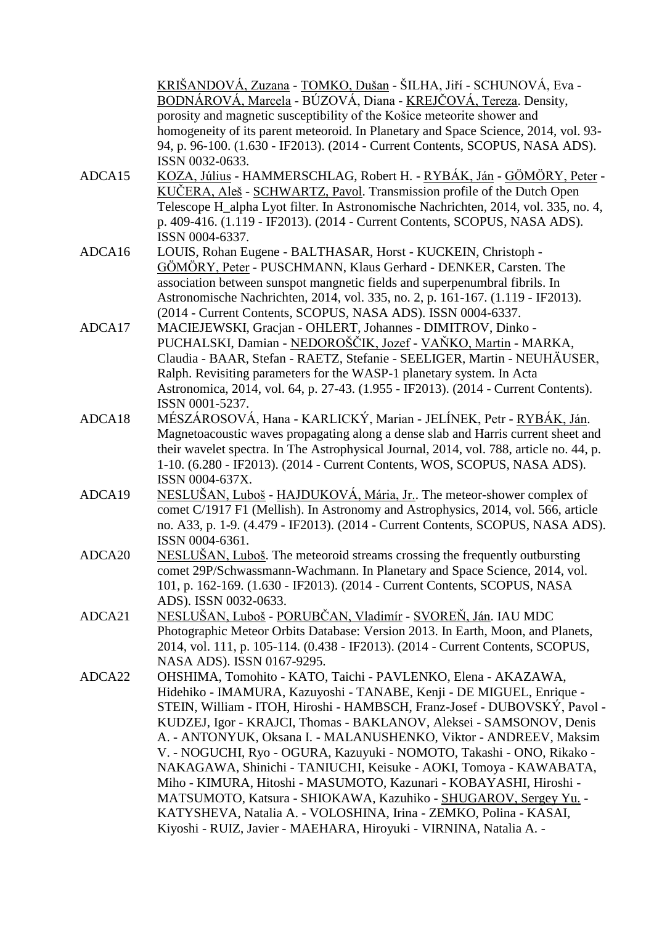KRIŠANDOVÁ, Zuzana - TOMKO, Dušan - ŠILHA, Jiří - SCHUNOVÁ, Eva - BODNÁROVÁ, Marcela - BÚZOVÁ, Diana - KREJČOVÁ, Tereza. Density, porosity and magnetic susceptibility of the Košice meteorite shower and homogeneity of its parent meteoroid. In Planetary and Space Science, 2014, vol. 93- 94, p. 96-100. (1.630 - IF2013). (2014 - Current Contents, SCOPUS, NASA ADS). ISSN 0032-0633.

- ADCA15 KOZA, Július HAMMERSCHLAG, Robert H. RYBÁK, Ján GÖMÖRY, Peter KUČERA, Aleš - SCHWARTZ, Pavol. Transmission profile of the Dutch Open Telescope H\_alpha Lyot filter. In Astronomische Nachrichten, 2014, vol. 335, no. 4, p. 409-416. (1.119 - IF2013). (2014 - Current Contents, SCOPUS, NASA ADS). ISSN 0004-6337.
- ADCA16 LOUIS, Rohan Eugene BALTHASAR, Horst KUCKEIN, Christoph GÖMÖRY, Peter - PUSCHMANN, Klaus Gerhard - DENKER, Carsten. The association between sunspot mangnetic fields and superpenumbral fibrils. In Astronomische Nachrichten, 2014, vol. 335, no. 2, p. 161-167. (1.119 - IF2013). (2014 - Current Contents, SCOPUS, NASA ADS). ISSN 0004-6337.
- ADCA17 MACIEJEWSKI, Gracjan OHLERT, Johannes DIMITROV, Dinko PUCHALSKI, Damian - NEDOROŠČIK, Jozef - VAŇKO, Martin - MARKA, Claudia - BAAR, Stefan - RAETZ, Stefanie - SEELIGER, Martin - NEUHÄUSER, Ralph. Revisiting parameters for the WASP-1 planetary system. In Acta Astronomica, 2014, vol. 64, p. 27-43. (1.955 - IF2013). (2014 - Current Contents). ISSN 0001-5237.
- ADCA18 MÉSZÁROSOVÁ, Hana KARLICKÝ, Marian JELÍNEK, Petr RYBÁK, Ján. Magnetoacoustic waves propagating along a dense slab and Harris current sheet and their wavelet spectra. In The Astrophysical Journal, 2014, vol. 788, article no. 44, p. 1-10. (6.280 - IF2013). (2014 - Current Contents, WOS, SCOPUS, NASA ADS). ISSN 0004-637X.
- ADCA19 NESLUŠAN, Luboš HAJDUKOVÁ, Mária, Jr.. The meteor-shower complex of comet C/1917 F1 (Mellish). In Astronomy and Astrophysics, 2014, vol. 566, article no. A33, p. 1-9. (4.479 - IF2013). (2014 - Current Contents, SCOPUS, NASA ADS). ISSN 0004-6361.
- ADCA20 NESLUŠAN, Luboš. The meteoroid streams crossing the frequently outbursting comet 29P/Schwassmann-Wachmann. In Planetary and Space Science, 2014, vol. 101, p. 162-169. (1.630 - IF2013). (2014 - Current Contents, SCOPUS, NASA ADS). ISSN 0032-0633.
- ADCA21 NESLUŠAN, Luboš PORUBČAN, Vladimír SVOREŇ, Ján. IAU MDC Photographic Meteor Orbits Database: Version 2013. In Earth, Moon, and Planets, 2014, vol. 111, p. 105-114. (0.438 - IF2013). (2014 - Current Contents, SCOPUS, NASA ADS). ISSN 0167-9295.
- ADCA22 OHSHIMA, Tomohito KATO, Taichi PAVLENKO, Elena AKAZAWA, Hidehiko - IMAMURA, Kazuyoshi - TANABE, Kenji - DE MIGUEL, Enrique - STEIN, William - ITOH, Hiroshi - HAMBSCH, Franz-Josef - DUBOVSKÝ, Pavol - KUDZEJ, Igor - KRAJCI, Thomas - BAKLANOV, Aleksei - SAMSONOV, Denis A. - ANTONYUK, Oksana I. - MALANUSHENKO, Viktor - ANDREEV, Maksim V. - NOGUCHI, Ryo - OGURA, Kazuyuki - NOMOTO, Takashi - ONO, Rikako - NAKAGAWA, Shinichi - TANIUCHI, Keisuke - AOKI, Tomoya - KAWABATA, Miho - KIMURA, Hitoshi - MASUMOTO, Kazunari - KOBAYASHI, Hiroshi - MATSUMOTO, Katsura - SHIOKAWA, Kazuhiko - SHUGAROV, Sergey Yu. - KATYSHEVA, Natalia A. - VOLOSHINA, Irina - ZEMKO, Polina - KASAI, Kiyoshi - RUIZ, Javier - MAEHARA, Hiroyuki - VIRNINA, Natalia A. -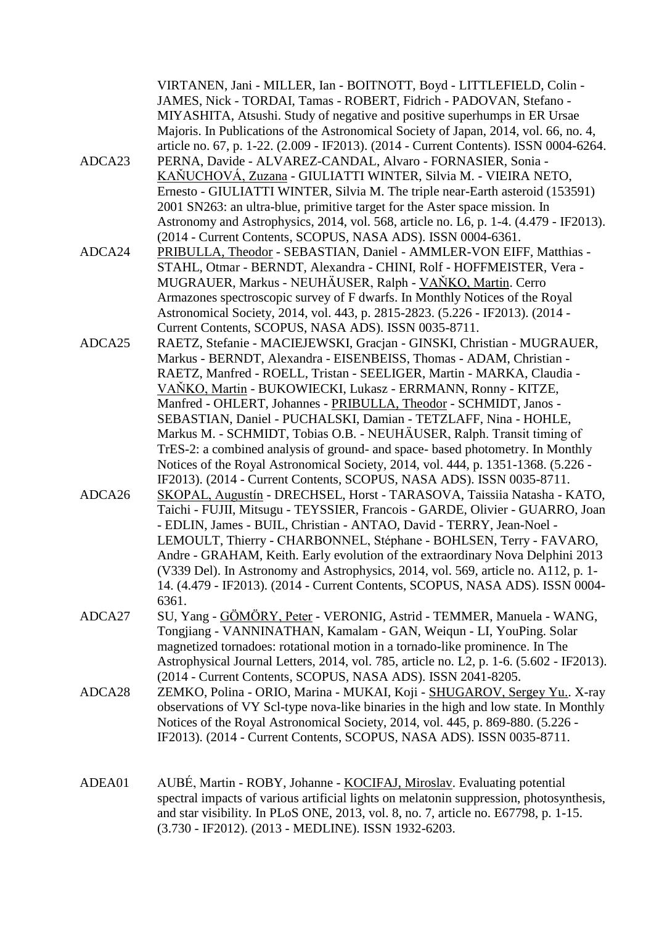| ADCA23 | VIRTANEN, Jani - MILLER, Ian - BOITNOTT, Boyd - LITTLEFIELD, Colin -<br>JAMES, Nick - TORDAI, Tamas - ROBERT, Fidrich - PADOVAN, Stefano -<br>MIYASHITA, Atsushi. Study of negative and positive superhumps in ER Ursae<br>Majoris. In Publications of the Astronomical Society of Japan, 2014, vol. 66, no. 4,<br>article no. 67, p. 1-22. (2.009 - IF2013). (2014 - Current Contents). ISSN 0004-6264.<br>PERNA, Davide - ALVAREZ-CANDAL, Alvaro - FORNASIER, Sonia -<br>KAŇUCHOVÁ, Zuzana - GIULIATTI WINTER, Silvia M. - VIEIRA NETO,<br>Ernesto - GIULIATTI WINTER, Silvia M. The triple near-Earth asteroid (153591)<br>2001 SN263: an ultra-blue, primitive target for the Aster space mission. In<br>Astronomy and Astrophysics, 2014, vol. 568, article no. L6, p. 1-4. (4.479 - IF2013).                                                                                                                                                                                                                                        |
|--------|-------------------------------------------------------------------------------------------------------------------------------------------------------------------------------------------------------------------------------------------------------------------------------------------------------------------------------------------------------------------------------------------------------------------------------------------------------------------------------------------------------------------------------------------------------------------------------------------------------------------------------------------------------------------------------------------------------------------------------------------------------------------------------------------------------------------------------------------------------------------------------------------------------------------------------------------------------------------------------------------------------------------------------------------|
| ADCA24 | (2014 - Current Contents, SCOPUS, NASA ADS). ISSN 0004-6361.<br>PRIBULLA, Theodor - SEBASTIAN, Daniel - AMMLER-VON EIFF, Matthias -<br>STAHL, Otmar - BERNDT, Alexandra - CHINI, Rolf - HOFFMEISTER, Vera -<br>MUGRAUER, Markus - NEUHÄUSER, Ralph - VANKO, Martin. Cerro<br>Armazones spectroscopic survey of F dwarfs. In Monthly Notices of the Royal                                                                                                                                                                                                                                                                                                                                                                                                                                                                                                                                                                                                                                                                                  |
| ADCA25 | Astronomical Society, 2014, vol. 443, p. 2815-2823. (5.226 - IF2013). (2014 -<br>Current Contents, SCOPUS, NASA ADS). ISSN 0035-8711.<br>RAETZ, Stefanie - MACIEJEWSKI, Gracjan - GINSKI, Christian - MUGRAUER,<br>Markus - BERNDT, Alexandra - EISENBEISS, Thomas - ADAM, Christian -<br>RAETZ, Manfred - ROELL, Tristan - SEELIGER, Martin - MARKA, Claudia -<br>VANKO, Martin - BUKOWIECKI, Lukasz - ERRMANN, Ronny - KITZE,                                                                                                                                                                                                                                                                                                                                                                                                                                                                                                                                                                                                           |
| ADCA26 | Manfred - OHLERT, Johannes - PRIBULLA, Theodor - SCHMIDT, Janos -<br>SEBASTIAN, Daniel - PUCHALSKI, Damian - TETZLAFF, Nina - HOHLE,<br>Markus M. - SCHMIDT, Tobias O.B. - NEUHÄUSER, Ralph. Transit timing of<br>TrES-2: a combined analysis of ground- and space- based photometry. In Monthly<br>Notices of the Royal Astronomical Society, 2014, vol. 444, p. 1351-1368. (5.226 -<br>IF2013). (2014 - Current Contents, SCOPUS, NASA ADS). ISSN 0035-8711.<br>SKOPAL, Augustín - DRECHSEL, Horst - TARASOVA, Taissiia Natasha - KATO,<br>Taichi - FUJII, Mitsugu - TEYSSIER, Francois - GARDE, Olivier - GUARRO, Joan<br>- EDLIN, James - BUIL, Christian - ANTAO, David - TERRY, Jean-Noel -<br>LEMOULT, Thierry - CHARBONNEL, Stéphane - BOHLSEN, Terry - FAVARO,<br>Andre - GRAHAM, Keith. Early evolution of the extraordinary Nova Delphini 2013<br>(V339 Del). In Astronomy and Astrophysics, 2014, vol. 569, article no. A112, p. 1-<br>14. (4.479 - IF2013). (2014 - Current Contents, SCOPUS, NASA ADS). ISSN 0004-<br>6361. |
| ADCA27 | SU, Yang - GÖMÖRY, Peter - VERONIG, Astrid - TEMMER, Manuela - WANG,<br>Tongjiang - VANNINATHAN, Kamalam - GAN, Weiqun - LI, YouPing. Solar<br>magnetized tornadoes: rotational motion in a tornado-like prominence. In The<br>Astrophysical Journal Letters, 2014, vol. 785, article no. L2, p. 1-6. (5.602 - IF2013).<br>(2014 - Current Contents, SCOPUS, NASA ADS). ISSN 2041-8205.                                                                                                                                                                                                                                                                                                                                                                                                                                                                                                                                                                                                                                                   |
| ADCA28 | ZEMKO, Polina - ORIO, Marina - MUKAI, Koji - SHUGAROV, Sergey Yu., X-ray<br>observations of VY Scl-type nova-like binaries in the high and low state. In Monthly<br>Notices of the Royal Astronomical Society, 2014, vol. 445, p. 869-880. (5.226 -<br>IF2013). (2014 - Current Contents, SCOPUS, NASA ADS). ISSN 0035-8711.                                                                                                                                                                                                                                                                                                                                                                                                                                                                                                                                                                                                                                                                                                              |
| ADEA01 | AUBÉ, Martin - ROBY, Johanne - KOCIFAJ, Miroslav. Evaluating potential<br>spectral impacts of various artificial lights on melatonin suppression, photosynthesis,<br>and star visibility. In PLoS ONE, 2013, vol. 8, no. 7, article no. E67798, p. 1-15.<br>(3.730 - IF2012). (2013 - MEDLINE). ISSN 1932-6203.                                                                                                                                                                                                                                                                                                                                                                                                                                                                                                                                                                                                                                                                                                                           |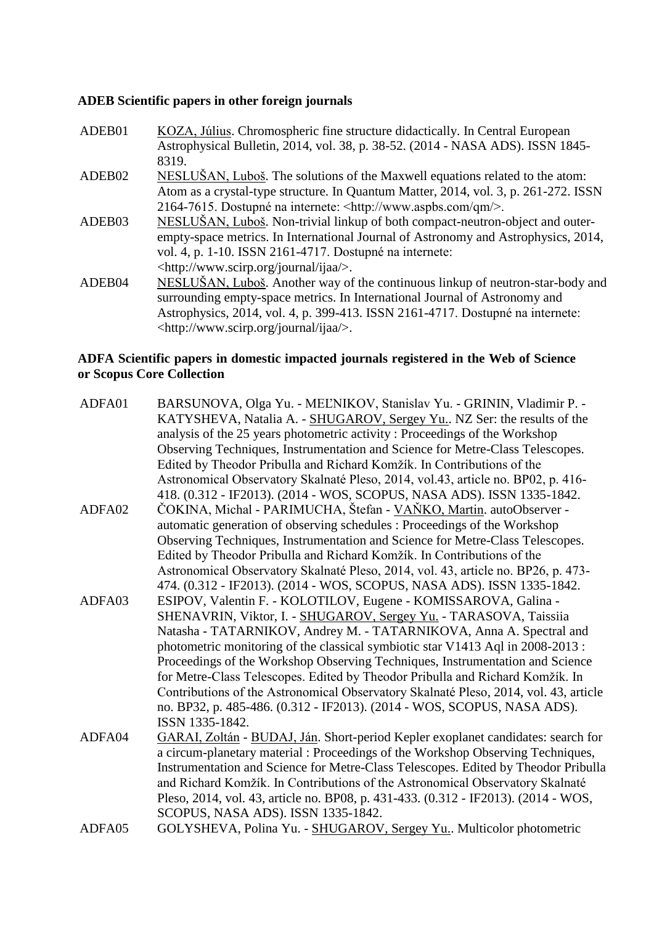# **ADEB Scientific papers in other foreign journals**

| ADEB01 | KOZA, Július. Chromospheric fine structure didactically. In Central European        |
|--------|-------------------------------------------------------------------------------------|
|        | Astrophysical Bulletin, 2014, vol. 38, p. 38-52. (2014 - NASA ADS). ISSN 1845-      |
|        | 8319.                                                                               |
| ADEB02 | NESLUŠAN, Luboš. The solutions of the Maxwell equations related to the atom:        |
|        | Atom as a crystal-type structure. In Quantum Matter, 2014, vol. 3, p. 261-272. ISSN |
|        | 2164-7615. Dostupné na internete: <http: qm="" www.aspbs.com=""></http:> .          |
| ADEB03 | NESLUŠAN, Luboš. Non-trivial linkup of both compact-neutron-object and outer-       |
|        | empty-space metrics. In International Journal of Astronomy and Astrophysics, 2014,  |
|        | vol. 4, p. 1-10. ISSN 2161-4717. Dostupné na internete:                             |
|        | <http: ijaa="" journal="" www.scirp.org=""></http:> .                               |
| ADEB04 | NESLUŠAN, Luboš. Another way of the continuous linkup of neutron-star-body and      |
|        | surrounding empty-space metrics. In International Journal of Astronomy and          |
|        | Astrophysics, 2014, vol. 4, p. 399-413. ISSN 2161-4717. Dostupné na internete:      |
|        | <http: ijaa="" journal="" www.scirp.org=""></http:> .                               |
|        |                                                                                     |

# **ADFA Scientific papers in domestic impacted journals registered in the Web of Science or Scopus Core Collection**

| ADFA01 | BARSUNOVA, Olga Yu. - MEĽNIKOV, Stanislav Yu. - GRININ, Vladimir P. -                |
|--------|--------------------------------------------------------------------------------------|
|        | KATYSHEVA, Natalia A. - SHUGAROV, Sergey Yu., NZ Ser: the results of the             |
|        | analysis of the 25 years photometric activity: Proceedings of the Workshop           |
|        | Observing Techniques, Instrumentation and Science for Metre-Class Telescopes.        |
|        | Edited by Theodor Pribulla and Richard Komžík. In Contributions of the               |
|        | Astronomical Observatory Skalnaté Pleso, 2014, vol.43, article no. BP02, p. 416-     |
|        | 418. (0.312 - IF2013). (2014 - WOS, SCOPUS, NASA ADS). ISSN 1335-1842.               |
| ADFA02 | ČOKINA, Michal - PARIMUCHA, Štefan - VAŇKO, Martin. autoObserver -                   |
|        | automatic generation of observing schedules : Proceedings of the Workshop            |
|        | Observing Techniques, Instrumentation and Science for Metre-Class Telescopes.        |
|        | Edited by Theodor Pribulla and Richard Komžík. In Contributions of the               |
|        | Astronomical Observatory Skalnaté Pleso, 2014, vol. 43, article no. BP26, p. 473-    |
|        | 474. (0.312 - IF2013). (2014 - WOS, SCOPUS, NASA ADS). ISSN 1335-1842.               |
| ADFA03 | ESIPOV, Valentin F. - KOLOTILOV, Eugene - KOMISSAROVA, Galina -                      |
|        | SHENAVRIN, Viktor, I. - SHUGAROV, Sergey Yu. - TARASOVA, Taissiia                    |
|        | Natasha - TATARNIKOV, Andrey M. - TATARNIKOVA, Anna A. Spectral and                  |
|        | photometric monitoring of the classical symbiotic star V1413 Aql in 2008-2013 :      |
|        | Proceedings of the Workshop Observing Techniques, Instrumentation and Science        |
|        | for Metre-Class Telescopes. Edited by Theodor Pribulla and Richard Komžík. In        |
|        | Contributions of the Astronomical Observatory Skalnaté Pleso, 2014, vol. 43, article |
|        | no. BP32, p. 485-486. (0.312 - IF2013). (2014 - WOS, SCOPUS, NASA ADS).              |
|        | ISSN 1335-1842.                                                                      |
| ADFA04 | GARAI, Zoltán - BUDAJ, Ján. Short-period Kepler exoplanet candidates: search for     |
|        | a circum-planetary material : Proceedings of the Workshop Observing Techniques,      |
|        | Instrumentation and Science for Metre-Class Telescopes. Edited by Theodor Pribulla   |
|        | and Richard Komžík. In Contributions of the Astronomical Observatory Skalnaté        |
|        | Pleso, 2014, vol. 43, article no. BP08, p. 431-433. (0.312 - IF2013). (2014 - WOS,   |
|        | SCOPUS, NASA ADS). ISSN 1335-1842.                                                   |
| ADFA05 | GOLYSHEVA, Polina Yu. - SHUGAROV, Sergey Yu Multicolor photometric                   |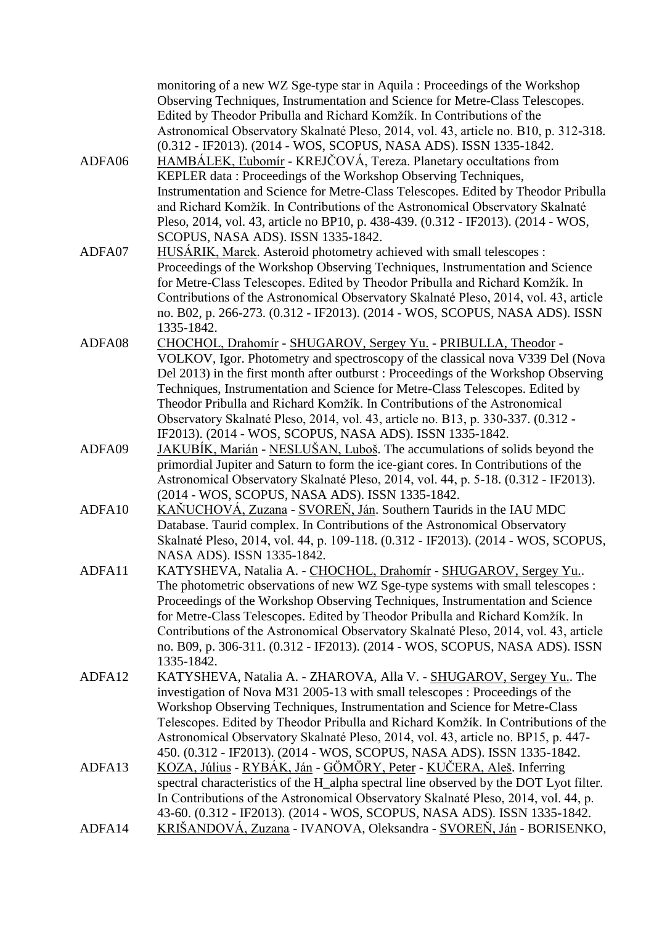|        | monitoring of a new WZ Sge-type star in Aquila : Proceedings of the Workshop<br>Observing Techniques, Instrumentation and Science for Metre-Class Telescopes.<br>Edited by Theodor Pribulla and Richard Komžík. In Contributions of the<br>Astronomical Observatory Skalnaté Pleso, 2014, vol. 43, article no. B10, p. 312-318.                                                                                                                                                                           |
|--------|-----------------------------------------------------------------------------------------------------------------------------------------------------------------------------------------------------------------------------------------------------------------------------------------------------------------------------------------------------------------------------------------------------------------------------------------------------------------------------------------------------------|
| ADFA06 | (0.312 - IF2013). (2014 - WOS, SCOPUS, NASA ADS). ISSN 1335-1842.<br>HAMBÁLEK, Lubomír - KREJČOVÁ, Tereza. Planetary occultations from<br>KEPLER data: Proceedings of the Workshop Observing Techniques,<br>Instrumentation and Science for Metre-Class Telescopes. Edited by Theodor Pribulla                                                                                                                                                                                                            |
|        | and Richard Komžík. In Contributions of the Astronomical Observatory Skalnaté<br>Pleso, 2014, vol. 43, article no BP10, p. 438-439. (0.312 - IF2013). (2014 - WOS,<br>SCOPUS, NASA ADS). ISSN 1335-1842.                                                                                                                                                                                                                                                                                                  |
| ADFA07 | HUSÁRIK, Marek. Asteroid photometry achieved with small telescopes :<br>Proceedings of the Workshop Observing Techniques, Instrumentation and Science<br>for Metre-Class Telescopes. Edited by Theodor Pribulla and Richard Komžík. In<br>Contributions of the Astronomical Observatory Skalnaté Pleso, 2014, vol. 43, article<br>no. B02, p. 266-273. (0.312 - IF2013). (2014 - WOS, SCOPUS, NASA ADS). ISSN                                                                                             |
| ADFA08 | 1335-1842.<br>CHOCHOL, Drahomír - SHUGAROV, Sergey Yu. - PRIBULLA, Theodor -<br>VOLKOV, Igor. Photometry and spectroscopy of the classical nova V339 Del (Nova                                                                                                                                                                                                                                                                                                                                            |
|        | Del 2013) in the first month after outburst: Proceedings of the Workshop Observing<br>Techniques, Instrumentation and Science for Metre-Class Telescopes. Edited by<br>Theodor Pribulla and Richard Komžík. In Contributions of the Astronomical<br>Observatory Skalnaté Pleso, 2014, vol. 43, article no. B13, p. 330-337. (0.312 -                                                                                                                                                                      |
| ADFA09 | IF2013). (2014 - WOS, SCOPUS, NASA ADS). ISSN 1335-1842.<br>JAKUBÍK, Marián - NESLUŠAN, Luboš. The accumulations of solids beyond the<br>primordial Jupiter and Saturn to form the ice-giant cores. In Contributions of the<br>Astronomical Observatory Skalnaté Pleso, 2014, vol. 44, p. 5-18. (0.312 - IF2013).<br>(2014 - WOS, SCOPUS, NASA ADS). ISSN 1335-1842.                                                                                                                                      |
| ADFA10 | KAŇUCHOVÁ, Zuzana - SVOREŇ, Ján. Southern Taurids in the IAU MDC<br>Database. Taurid complex. In Contributions of the Astronomical Observatory<br>Skalnaté Pleso, 2014, vol. 44, p. 109-118. (0.312 - IF2013). (2014 - WOS, SCOPUS,<br>NASA ADS). ISSN 1335-1842.                                                                                                                                                                                                                                         |
| ADFA11 | KATYSHEVA, Natalia A. - CHOCHOL, Drahomír - SHUGAROV, Sergey Yu<br>The photometric observations of new WZ Sge-type systems with small telescopes :<br>Proceedings of the Workshop Observing Techniques, Instrumentation and Science<br>for Metre-Class Telescopes. Edited by Theodor Pribulla and Richard Komžík. In<br>Contributions of the Astronomical Observatory Skalnaté Pleso, 2014, vol. 43, article<br>no. B09, p. 306-311. (0.312 - IF2013). (2014 - WOS, SCOPUS, NASA ADS). ISSN<br>1335-1842. |
| ADFA12 | KATYSHEVA, Natalia A. - ZHAROVA, Alla V. - SHUGAROV, Sergey Yu. The<br>investigation of Nova M31 2005-13 with small telescopes : Proceedings of the<br>Workshop Observing Techniques, Instrumentation and Science for Metre-Class<br>Telescopes. Edited by Theodor Pribulla and Richard Komžík. In Contributions of the<br>Astronomical Observatory Skalnaté Pleso, 2014, vol. 43, article no. BP15, p. 447-<br>450. (0.312 - IF2013). (2014 - WOS, SCOPUS, NASA ADS). ISSN 1335-1842.                    |
| ADFA13 | KOZA, Július - RYBÁK, Ján - GÖMÖRY, Peter - KUČERA, Aleš. Inferring<br>spectral characteristics of the H_alpha spectral line observed by the DOT Lyot filter.<br>In Contributions of the Astronomical Observatory Skalnaté Pleso, 2014, vol. 44, p.<br>43-60. (0.312 - IF2013). (2014 - WOS, SCOPUS, NASA ADS). ISSN 1335-1842.                                                                                                                                                                           |
| ADFA14 | <u>KRIŠANDOVÁ, Zuzana</u> - IVANOVA, Oleksandra - <u>SVOREŇ, Ján</u> - BORISENKO,                                                                                                                                                                                                                                                                                                                                                                                                                         |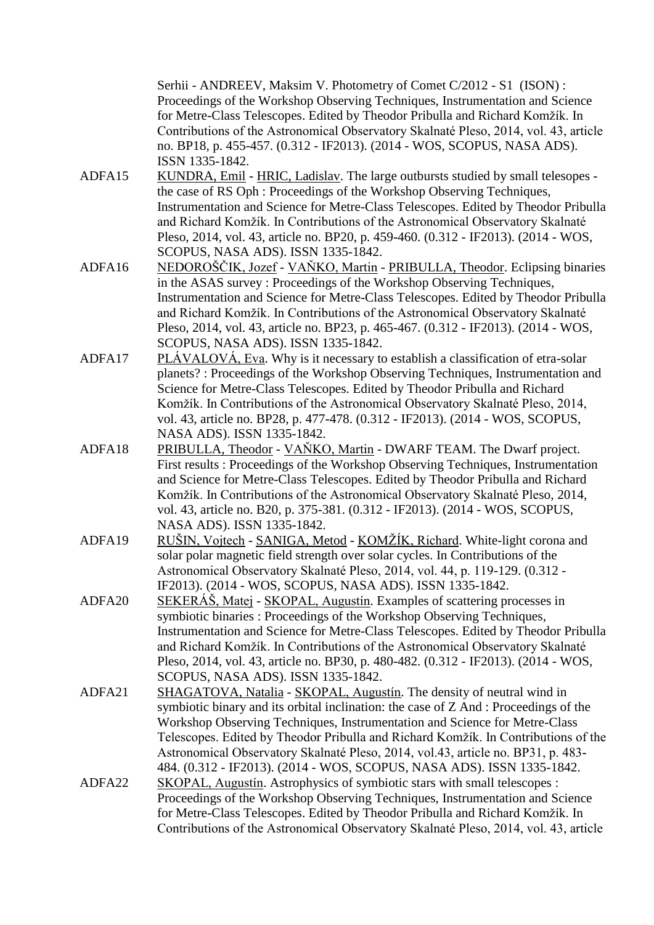Serhii - ANDREEV, Maksim V. Photometry of Comet C/2012 - S1 (ISON) : Proceedings of the Workshop Observing Techniques, Instrumentation and Science for Metre-Class Telescopes. Edited by Theodor Pribulla and Richard Komžík. In Contributions of the Astronomical Observatory Skalnaté Pleso, 2014, vol. 43, article no. BP18, p. 455-457. (0.312 - IF2013). (2014 - WOS, SCOPUS, NASA ADS). ISSN 1335-1842.

- ADFA15 KUNDRA, Emil HRIC, Ladislav. The large outbursts studied by small telesopes the case of RS Oph : Proceedings of the Workshop Observing Techniques, Instrumentation and Science for Metre-Class Telescopes. Edited by Theodor Pribulla and Richard Komžík. In Contributions of the Astronomical Observatory Skalnaté Pleso, 2014, vol. 43, article no. BP20, p. 459-460. (0.312 - IF2013). (2014 - WOS, SCOPUS, NASA ADS). ISSN 1335-1842.
- ADFA16 NEDOROŠČIK, Jozef VAŇKO, Martin PRIBULLA, Theodor. Eclipsing binaries in the ASAS survey : Proceedings of the Workshop Observing Techniques, Instrumentation and Science for Metre-Class Telescopes. Edited by Theodor Pribulla and Richard Komžík. In Contributions of the Astronomical Observatory Skalnaté Pleso, 2014, vol. 43, article no. BP23, p. 465-467. (0.312 - IF2013). (2014 - WOS, SCOPUS, NASA ADS). ISSN 1335-1842.
- ADFA17 PLÁVALOVÁ, Eva. Why is it necessary to establish a classification of etra-solar planets? : Proceedings of the Workshop Observing Techniques, Instrumentation and Science for Metre-Class Telescopes. Edited by Theodor Pribulla and Richard Komžík. In Contributions of the Astronomical Observatory Skalnaté Pleso, 2014, vol. 43, article no. BP28, p. 477-478. (0.312 - IF2013). (2014 - WOS, SCOPUS, NASA ADS). ISSN 1335-1842.
- ADFA18 PRIBULLA, Theodor VAŇKO, Martin DWARF TEAM. The Dwarf project. First results : Proceedings of the Workshop Observing Techniques, Instrumentation and Science for Metre-Class Telescopes. Edited by Theodor Pribulla and Richard Komžík. In Contributions of the Astronomical Observatory Skalnaté Pleso, 2014, vol. 43, article no. B20, p. 375-381. (0.312 - IF2013). (2014 - WOS, SCOPUS, NASA ADS). ISSN 1335-1842.
- ADFA19 RUŠIN, Vojtech SANIGA, Metod KOMŽÍK, Richard. White-light corona and solar polar magnetic field strength over solar cycles. In Contributions of the Astronomical Observatory Skalnaté Pleso, 2014, vol. 44, p. 119-129. (0.312 - IF2013). (2014 - WOS, SCOPUS, NASA ADS). ISSN 1335-1842.
- ADFA20 SEKERÁŠ, Matej SKOPAL, Augustín. Examples of scattering processes in symbiotic binaries : Proceedings of the Workshop Observing Techniques, Instrumentation and Science for Metre-Class Telescopes. Edited by Theodor Pribulla and Richard Komžík. In Contributions of the Astronomical Observatory Skalnaté Pleso, 2014, vol. 43, article no. BP30, p. 480-482. (0.312 - IF2013). (2014 - WOS, SCOPUS, NASA ADS). ISSN 1335-1842.
- ADFA21 SHAGATOVA, Natalia SKOPAL, Augustín. The density of neutral wind in symbiotic binary and its orbital inclination: the case of Z And : Proceedings of the Workshop Observing Techniques, Instrumentation and Science for Metre-Class Telescopes. Edited by Theodor Pribulla and Richard Komžík. In Contributions of the Astronomical Observatory Skalnaté Pleso, 2014, vol.43, article no. BP31, p. 483- 484. (0.312 - IF2013). (2014 - WOS, SCOPUS, NASA ADS). ISSN 1335-1842.
- ADFA22 SKOPAL, Augustín. Astrophysics of symbiotic stars with small telescopes : Proceedings of the Workshop Observing Techniques, Instrumentation and Science for Metre-Class Telescopes. Edited by Theodor Pribulla and Richard Komžík. In Contributions of the Astronomical Observatory Skalnaté Pleso, 2014, vol. 43, article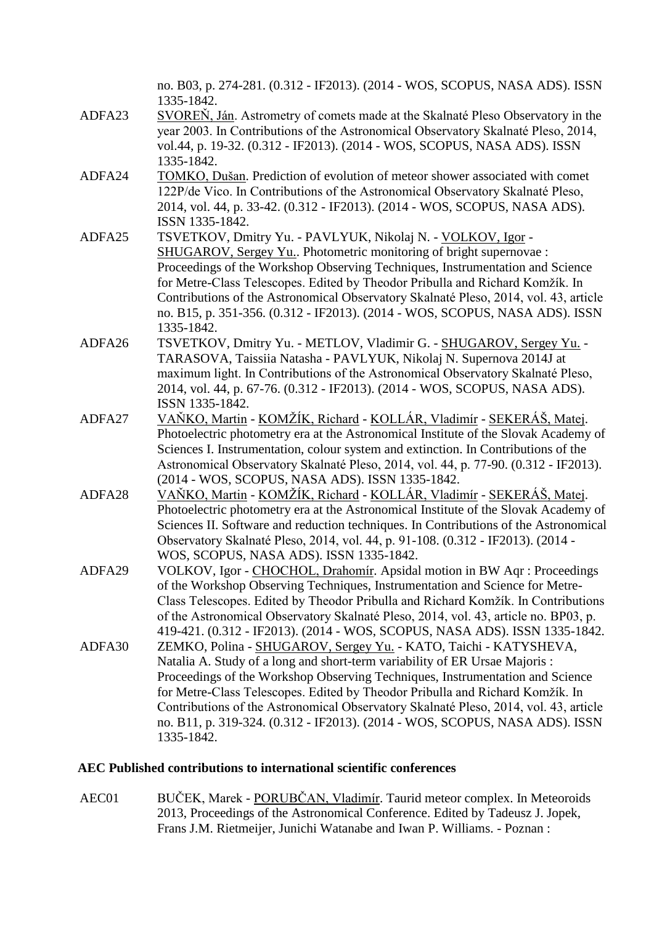|        | no. B03, p. 274-281. (0.312 - IF2013). (2014 - WOS, SCOPUS, NASA ADS). ISSN<br>1335-1842.                                                                                                                                                                                                                                                                                                                                                                                                             |
|--------|-------------------------------------------------------------------------------------------------------------------------------------------------------------------------------------------------------------------------------------------------------------------------------------------------------------------------------------------------------------------------------------------------------------------------------------------------------------------------------------------------------|
| ADFA23 | SVOREN, Ján. Astrometry of comets made at the Skalnaté Pleso Observatory in the<br>year 2003. In Contributions of the Astronomical Observatory Skalnaté Pleso, 2014,<br>vol.44, p. 19-32. (0.312 - IF2013). (2014 - WOS, SCOPUS, NASA ADS). ISSN                                                                                                                                                                                                                                                      |
| ADFA24 | 1335-1842.<br>TOMKO, Dušan. Prediction of evolution of meteor shower associated with comet                                                                                                                                                                                                                                                                                                                                                                                                            |
|        | 122P/de Vico. In Contributions of the Astronomical Observatory Skalnaté Pleso,<br>2014, vol. 44, p. 33-42. (0.312 - IF2013). (2014 - WOS, SCOPUS, NASA ADS).<br>ISSN 1335-1842.                                                                                                                                                                                                                                                                                                                       |
| ADFA25 | TSVETKOV, Dmitry Yu. - PAVLYUK, Nikolaj N. - VOLKOV, Igor -<br>SHUGAROV, Sergey Yu Photometric monitoring of bright supernovae :<br>Proceedings of the Workshop Observing Techniques, Instrumentation and Science<br>for Metre-Class Telescopes. Edited by Theodor Pribulla and Richard Komžík. In<br>Contributions of the Astronomical Observatory Skalnaté Pleso, 2014, vol. 43, article<br>no. B15, p. 351-356. (0.312 - IF2013). (2014 - WOS, SCOPUS, NASA ADS). ISSN<br>1335-1842.               |
| ADFA26 | TSVETKOV, Dmitry Yu. - METLOV, Vladimir G. - SHUGAROV, Sergey Yu. -<br>TARASOVA, Taissiia Natasha - PAVLYUK, Nikolaj N. Supernova 2014J at<br>maximum light. In Contributions of the Astronomical Observatory Skalnaté Pleso,<br>2014, vol. 44, p. 67-76. (0.312 - IF2013). (2014 - WOS, SCOPUS, NASA ADS).<br>ISSN 1335-1842.                                                                                                                                                                        |
| ADFA27 | <u> VAŇKO, Martin - KOMŽÍK, Richard - KOLLÁR, Vladimír - SEKERÁŠ, Matej.</u><br>Photoelectric photometry era at the Astronomical Institute of the Slovak Academy of<br>Sciences I. Instrumentation, colour system and extinction. In Contributions of the<br>Astronomical Observatory Skalnaté Pleso, 2014, vol. 44, p. 77-90. (0.312 - IF2013).<br>(2014 - WOS, SCOPUS, NASA ADS). ISSN 1335-1842.                                                                                                   |
| ADFA28 | <u> VAŇKO, Martin - KOMŽÍK, Richard - KOLLÁR, Vladimír - SEKERÁŠ, Matej.</u><br>Photoelectric photometry era at the Astronomical Institute of the Slovak Academy of<br>Sciences II. Software and reduction techniques. In Contributions of the Astronomical<br>Observatory Skalnaté Pleso, 2014, vol. 44, p. 91-108. (0.312 - IF2013). (2014 -<br>WOS, SCOPUS, NASA ADS). ISSN 1335-1842.                                                                                                             |
| ADFA29 | VOLKOV, Igor - CHOCHOL, Drahomír. Apsidal motion in BW Aqr : Proceedings<br>of the Workshop Observing Techniques, Instrumentation and Science for Metre-<br>Class Telescopes. Edited by Theodor Pribulla and Richard Komžík. In Contributions<br>of the Astronomical Observatory Skalnaté Pleso, 2014, vol. 43, article no. BP03, p.<br>419-421. (0.312 - IF2013). (2014 - WOS, SCOPUS, NASA ADS). ISSN 1335-1842.                                                                                    |
| ADFA30 | ZEMKO, Polina - SHUGAROV, Sergey Yu. - KATO, Taichi - KATYSHEVA,<br>Natalia A. Study of a long and short-term variability of ER Ursae Majoris:<br>Proceedings of the Workshop Observing Techniques, Instrumentation and Science<br>for Metre-Class Telescopes. Edited by Theodor Pribulla and Richard Komžík. In<br>Contributions of the Astronomical Observatory Skalnaté Pleso, 2014, vol. 43, article<br>no. B11, p. 319-324. (0.312 - IF2013). (2014 - WOS, SCOPUS, NASA ADS). ISSN<br>1335-1842. |

# **AEC Published contributions to international scientific conferences**

AEC01 BUČEK, Marek - PORUBČAN, Vladimír. Taurid meteor complex. In Meteoroids 2013, Proceedings of the Astronomical Conference. Edited by Tadeusz J. Jopek, Frans J.M. Rietmeijer, Junichi Watanabe and Iwan P. Williams. - Poznan :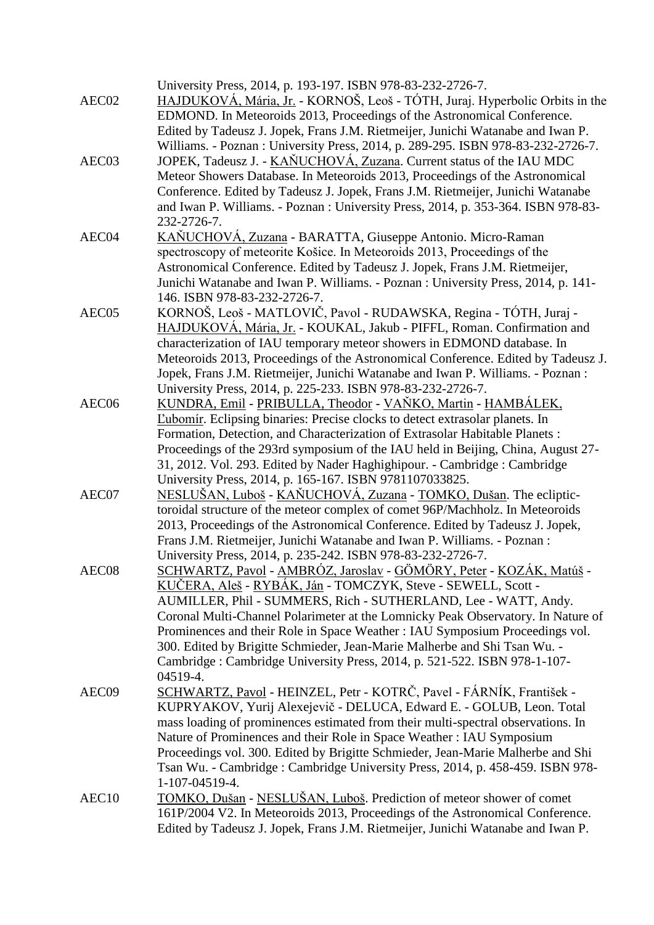| AEC02             | University Press, 2014, p. 193-197. ISBN 978-83-232-2726-7.<br>HAJDUKOVÁ, Mária, Jr. - KORNOŠ, Leoš - TÓTH, Juraj. Hyperbolic Orbits in the                                                                                                   |
|-------------------|-----------------------------------------------------------------------------------------------------------------------------------------------------------------------------------------------------------------------------------------------|
|                   | EDMOND. In Meteoroids 2013, Proceedings of the Astronomical Conference.<br>Edited by Tadeusz J. Jopek, Frans J.M. Rietmeijer, Junichi Watanabe and Iwan P.<br>Williams. - Poznan: University Press, 2014, p. 289-295. ISBN 978-83-232-2726-7. |
| AEC03             | JOPEK, Tadeusz J. - KAŇUCHOVÁ, Zuzana. Current status of the IAU MDC<br>Meteor Showers Database. In Meteoroids 2013, Proceedings of the Astronomical                                                                                          |
|                   | Conference. Edited by Tadeusz J. Jopek, Frans J.M. Rietmeijer, Junichi Watanabe<br>and Iwan P. Williams. - Poznan: University Press, 2014, p. 353-364. ISBN 978-83-                                                                           |
| AEC04             | 232-2726-7.<br>KAŇUCHOVÁ, Zuzana - BARATTA, Giuseppe Antonio. Micro-Raman                                                                                                                                                                     |
|                   | spectroscopy of meteorite Košice. In Meteoroids 2013, Proceedings of the<br>Astronomical Conference. Edited by Tadeusz J. Jopek, Frans J.M. Rietmeijer,<br>Junichi Watanabe and Iwan P. Williams. - Poznan : University Press, 2014, p. 141-  |
| AEC05             | 146. ISBN 978-83-232-2726-7.<br>KORNOŠ, Leoš - MATLOVIČ, Pavol - RUDAWSKA, Regina - TÓTH, Juraj -                                                                                                                                             |
|                   | HAJDUKOVÁ, Mária, Jr. - KOUKAL, Jakub - PIFFL, Roman. Confirmation and                                                                                                                                                                        |
|                   | characterization of IAU temporary meteor showers in EDMOND database. In                                                                                                                                                                       |
|                   | Meteoroids 2013, Proceedings of the Astronomical Conference. Edited by Tadeusz J.                                                                                                                                                             |
|                   | Jopek, Frans J.M. Rietmeijer, Junichi Watanabe and Iwan P. Williams. - Poznan:<br>University Press, 2014, p. 225-233. ISBN 978-83-232-2726-7.                                                                                                 |
| AEC <sub>06</sub> | KUNDRA, Emil - PRIBULLA, Theodor - VAŇKO, Martin - HAMBÁLEK,                                                                                                                                                                                  |
|                   | <b>Eubomír.</b> Eclipsing binaries: Precise clocks to detect extrasolar planets. In                                                                                                                                                           |
|                   | Formation, Detection, and Characterization of Extrasolar Habitable Planets :                                                                                                                                                                  |
|                   | Proceedings of the 293rd symposium of the IAU held in Beijing, China, August 27-                                                                                                                                                              |
|                   | 31, 2012. Vol. 293. Edited by Nader Haghighipour. - Cambridge : Cambridge                                                                                                                                                                     |
| AEC07             | University Press, 2014, p. 165-167. ISBN 9781107033825.<br><u>NESLUŠAN, Luboš - KAŇUCHOVÁ, Zuzana - TOMKO, Dušan</u> . The ecliptic-                                                                                                          |
|                   | toroidal structure of the meteor complex of comet 96P/Machholz. In Meteoroids                                                                                                                                                                 |
|                   | 2013, Proceedings of the Astronomical Conference. Edited by Tadeusz J. Jopek,                                                                                                                                                                 |
|                   | Frans J.M. Rietmeijer, Junichi Watanabe and Iwan P. Williams. - Poznan :                                                                                                                                                                      |
|                   | University Press, 2014, p. 235-242. ISBN 978-83-232-2726-7.                                                                                                                                                                                   |
| AEC08             | <u> SCHWARTZ, Pavol</u> - AMBRÓZ, Jaroslav - GÖMÖRY, Peter - KOZÁK, Matúš -                                                                                                                                                                   |
|                   | KUČERA, Aleš - RYBÁK, Ján - TOMCZYK, Steve - SEWELL, Scott -                                                                                                                                                                                  |
|                   | AUMILLER, Phil - SUMMERS, Rich - SUTHERLAND, Lee - WATT, Andy.<br>Coronal Multi-Channel Polarimeter at the Lomnicky Peak Observatory. In Nature of                                                                                            |
|                   | Prominences and their Role in Space Weather : IAU Symposium Proceedings vol.                                                                                                                                                                  |
|                   | 300. Edited by Brigitte Schmieder, Jean-Marie Malherbe and Shi Tsan Wu. -                                                                                                                                                                     |
|                   | Cambridge: Cambridge University Press, 2014, p. 521-522. ISBN 978-1-107-                                                                                                                                                                      |
|                   | 04519-4.                                                                                                                                                                                                                                      |
| AEC09             | SCHWARTZ, Pavol - HEINZEL, Petr - KOTRČ, Pavel - FÁRNÍK, František -                                                                                                                                                                          |
|                   | KUPRYAKOV, Yurij Alexejevič - DELUCA, Edward E. - GOLUB, Leon. Total                                                                                                                                                                          |
|                   | mass loading of prominences estimated from their multi-spectral observations. In<br>Nature of Prominences and their Role in Space Weather : IAU Symposium                                                                                     |
|                   | Proceedings vol. 300. Edited by Brigitte Schmieder, Jean-Marie Malherbe and Shi                                                                                                                                                               |
|                   | Tsan Wu. - Cambridge: Cambridge University Press, 2014, p. 458-459. ISBN 978-                                                                                                                                                                 |
|                   | 1-107-04519-4.                                                                                                                                                                                                                                |
| AEC <sub>10</sub> | TOMKO, Dušan - NESLUŠAN, Luboš. Prediction of meteor shower of comet                                                                                                                                                                          |
|                   | 161P/2004 V2. In Meteoroids 2013, Proceedings of the Astronomical Conference.<br>Edited by Tadeusz J. Jopek, Frans J.M. Rietmeijer, Junichi Watanabe and Iwan P.                                                                              |
|                   |                                                                                                                                                                                                                                               |